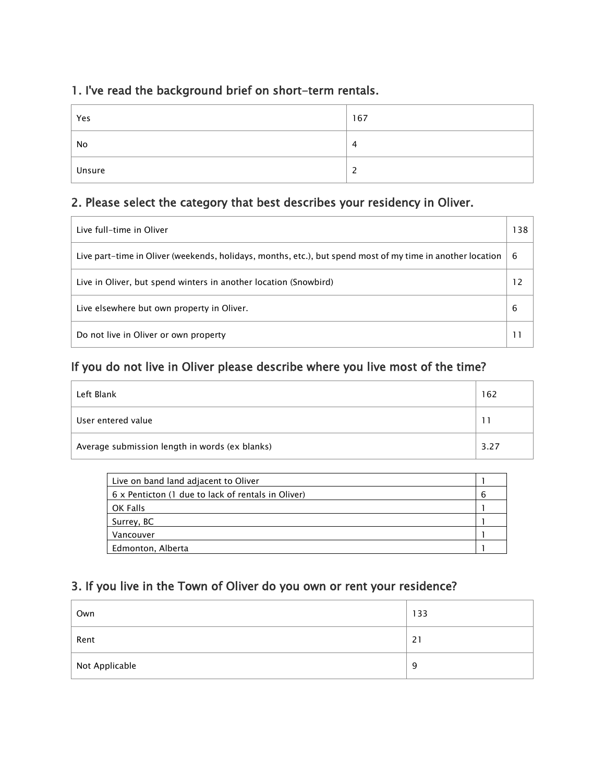## 1. I've read the background brief on short-term rentals.

| Yes    | 167 |
|--------|-----|
| No     | 4   |
| Unsure | ٠   |

## 2. Please select the category that best describes your residency in Oliver.

| Live full-time in Oliver                                                                                   | 38             |
|------------------------------------------------------------------------------------------------------------|----------------|
| Live part-time in Oliver (weekends, holidays, months, etc.), but spend most of my time in another location | 6              |
| Live in Oliver, but spend winters in another location (Snowbird)                                           | $\overline{2}$ |
| Live elsewhere but own property in Oliver.                                                                 | 6              |
| Do not live in Oliver or own property                                                                      |                |

## If you do not live in Oliver please describe where you live most of the time?

| Left Blank                                     | 62 ا |
|------------------------------------------------|------|
| User entered value                             |      |
| Average submission length in words (ex blanks) | 3.27 |

| Live on band land adjacent to Oliver               |   |
|----------------------------------------------------|---|
| 6 x Penticton (1 due to lack of rentals in Oliver) | 6 |
| OK Falls                                           |   |
| Surrey, BC                                         |   |
| Vancouver                                          |   |
| Edmonton, Alberta                                  |   |

# 3. If you live in the Town of Oliver do you own or rent your residence?

| Own            | 133 |
|----------------|-----|
| Rent           | 21  |
| Not Applicable | 9   |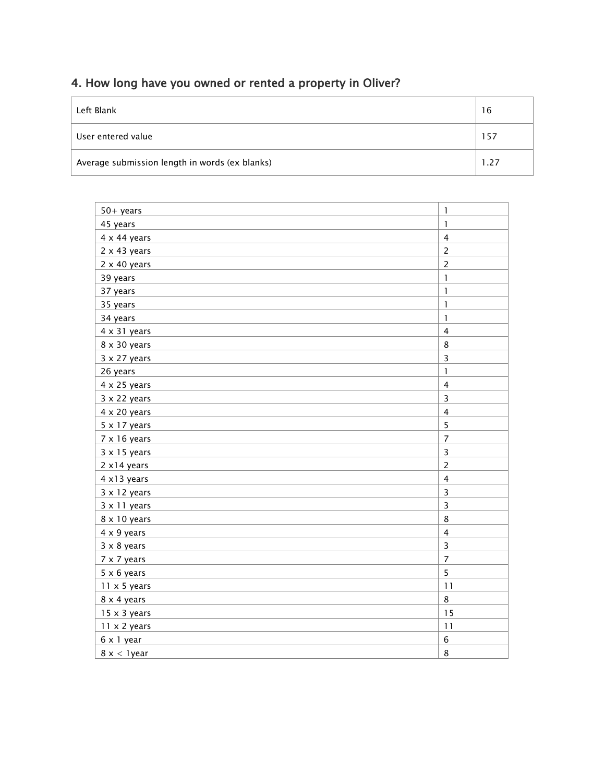# 4. How long have you owned or rented a property in Oliver?

| Left Blank                                     | 16   |
|------------------------------------------------|------|
| User entered value                             | 157  |
| Average submission length in words (ex blanks) | 1.27 |

| $50 + \text{years}$ | $\mathbf{I}$            |
|---------------------|-------------------------|
| 45 years            | $\mathbf{1}$            |
| $4 \times 44$ years | $\overline{4}$          |
| $2 \times 43$ years | $\overline{c}$          |
| $2 \times 40$ years | $\overline{c}$          |
| 39 years            | $\mathbf{I}$            |
| 37 years            | 1                       |
| 35 years            | $\mathbf{I}$            |
| 34 years            | $\mathbf{I}$            |
| $4 \times 31$ years | $\overline{\mathbf{4}}$ |
| 8 x 30 years        | 8                       |
| $3 \times 27$ years | 3                       |
| 26 years            | $\mathbf{I}$            |
| $4 \times 25$ years | $\overline{\mathbf{4}}$ |
| $3 \times 22$ years | 3                       |
| $4 \times 20$ years | $\overline{\mathbf{4}}$ |
| $5 \times 17$ years | 5                       |
| $7 \times 16$ years | $\overline{7}$          |
| $3 \times 15$ years | 3                       |
| 2 x14 years         | $\overline{c}$          |
| 4 x13 years         | $\overline{\mathbf{4}}$ |
| $3 \times 12$ years | 3                       |
| 3 x 11 years        | 3                       |
| 8 x 10 years        | 8                       |
| 4 x 9 years         | $\overline{\mathbf{4}}$ |
| $3 \times 8$ years  | 3                       |
| 7 x 7 years         | $\overline{7}$          |
| $5 \times 6$ years  | 5                       |
| $11 \times 5$ years | 11                      |
| 8 x 4 years         | 8                       |
| $15 \times 3$ years | 15                      |
| $11 \times 2$ years | 11                      |
| 6 x 1 year          | $\,$ 6                  |
| $8x < 1$ year       | 8                       |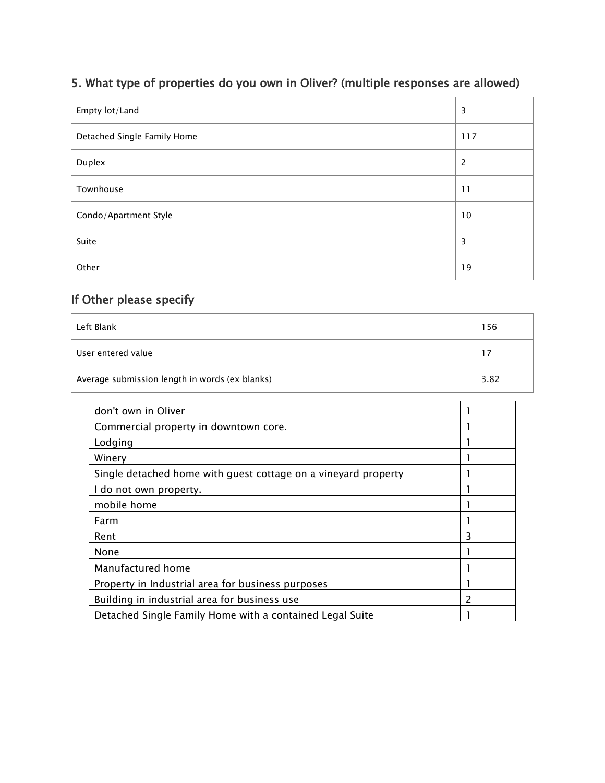## 5. What type of properties do you own in Oliver? (multiple responses are allowed)

| Empty lot/Land              | 3              |
|-----------------------------|----------------|
| Detached Single Family Home | 117            |
| Duplex                      | $\overline{c}$ |
| Townhouse                   | 11             |
| Condo/Apartment Style       | 10             |
| Suite                       | 3              |
| Other                       | 19             |

| Left Blank                                     | 156  |
|------------------------------------------------|------|
| User entered value                             | 17   |
| Average submission length in words (ex blanks) | 3.82 |

| don't own in Oliver                                            |   |
|----------------------------------------------------------------|---|
| Commercial property in downtown core.                          |   |
| Lodging                                                        |   |
| Winery                                                         |   |
| Single detached home with guest cottage on a vineyard property |   |
| I do not own property.                                         |   |
| mobile home                                                    |   |
| Farm                                                           |   |
| Rent                                                           | 3 |
| None                                                           |   |
| Manufactured home                                              |   |
| Property in Industrial area for business purposes              |   |
| Building in industrial area for business use                   | 2 |
| Detached Single Family Home with a contained Legal Suite       |   |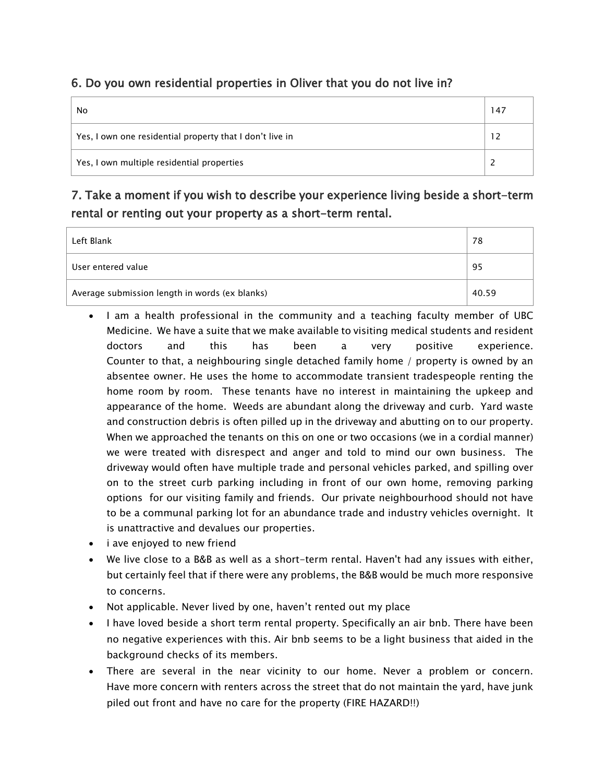### 6. Do you own residential properties in Oliver that you do not live in?

| No                                                       | 147 |
|----------------------------------------------------------|-----|
| Yes, I own one residential property that I don't live in |     |
| Yes, I own multiple residential properties               |     |

## 7. Take a moment if you wish to describe your experience living beside a short-term rental or renting out your property as a short-term rental.

| Left Blank                                     | 78    |
|------------------------------------------------|-------|
| User entered value                             | 95    |
| Average submission length in words (ex blanks) | 40.59 |

- I am a health professional in the community and a teaching faculty member of UBC Medicine. We have a suite that we make available to visiting medical students and resident doctors and this has been a very positive experience. Counter to that, a neighbouring single detached family home / property is owned by an absentee owner. He uses the home to accommodate transient tradespeople renting the home room by room. These tenants have no interest in maintaining the upkeep and appearance of the home. Weeds are abundant along the driveway and curb. Yard waste and construction debris is often pilled up in the driveway and abutting on to our property. When we approached the tenants on this on one or two occasions (we in a cordial manner) we were treated with disrespect and anger and told to mind our own business. The driveway would often have multiple trade and personal vehicles parked, and spilling over on to the street curb parking including in front of our own home, removing parking options for our visiting family and friends. Our private neighbourhood should not have to be a communal parking lot for an abundance trade and industry vehicles overnight. It is unattractive and devalues our properties.
- i ave enjoyed to new friend
- We live close to a B&B as well as a short-term rental. Haven't had any issues with either, but certainly feel that if there were any problems, the B&B would be much more responsive to concerns.
- Not applicable. Never lived by one, haven't rented out my place
- I have loved beside a short term rental property. Specifically an air bnb. There have been no negative experiences with this. Air bnb seems to be a light business that aided in the background checks of its members.
- There are several in the near vicinity to our home. Never a problem or concern. Have more concern with renters across the street that do not maintain the yard, have junk piled out front and have no care for the property (FIRE HAZARD!!)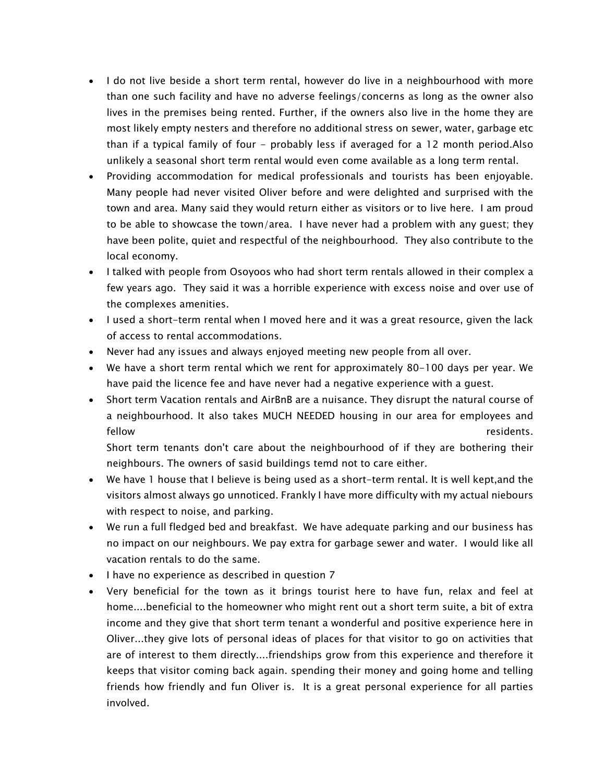- I do not live beside a short term rental, however do live in a neighbourhood with more than one such facility and have no adverse feelings/concerns as long as the owner also lives in the premises being rented. Further, if the owners also live in the home they are most likely empty nesters and therefore no additional stress on sewer, water, garbage etc than if a typical family of four - probably less if averaged for a 12 month period.Also unlikely a seasonal short term rental would even come available as a long term rental.
- Providing accommodation for medical professionals and tourists has been enjoyable. Many people had never visited Oliver before and were delighted and surprised with the town and area. Many said they would return either as visitors or to live here. I am proud to be able to showcase the town/area. I have never had a problem with any guest; they have been polite, quiet and respectful of the neighbourhood. They also contribute to the local economy.
- I talked with people from Osoyoos who had short term rentals allowed in their complex a few years ago. They said it was a horrible experience with excess noise and over use of the complexes amenities.
- I used a short-term rental when I moved here and it was a great resource, given the lack of access to rental accommodations.
- Never had any issues and always enjoyed meeting new people from all over.
- We have a short term rental which we rent for approximately 80-100 days per year. We have paid the licence fee and have never had a negative experience with a guest.
- Short term Vacation rentals and AirBnB are a nuisance. They disrupt the natural course of a neighbourhood. It also takes MUCH NEEDED housing in our area for employees and fellow residents.

Short term tenants don't care about the neighbourhood of if they are bothering their neighbours. The owners of sasid buildings temd not to care either.

- We have 1 house that I believe is being used as a short-term rental. It is well kept,and the visitors almost always go unnoticed. Frankly I have more difficulty with my actual niebours with respect to noise, and parking.
- We run a full fledged bed and breakfast. We have adequate parking and our business has no impact on our neighbours. We pay extra for garbage sewer and water. I would like all vacation rentals to do the same.
- I have no experience as described in question 7
- Very beneficial for the town as it brings tourist here to have fun, relax and feel at home....beneficial to the homeowner who might rent out a short term suite, a bit of extra income and they give that short term tenant a wonderful and positive experience here in Oliver...they give lots of personal ideas of places for that visitor to go on activities that are of interest to them directly....friendships grow from this experience and therefore it keeps that visitor coming back again. spending their money and going home and telling friends how friendly and fun Oliver is. It is a great personal experience for all parties involved.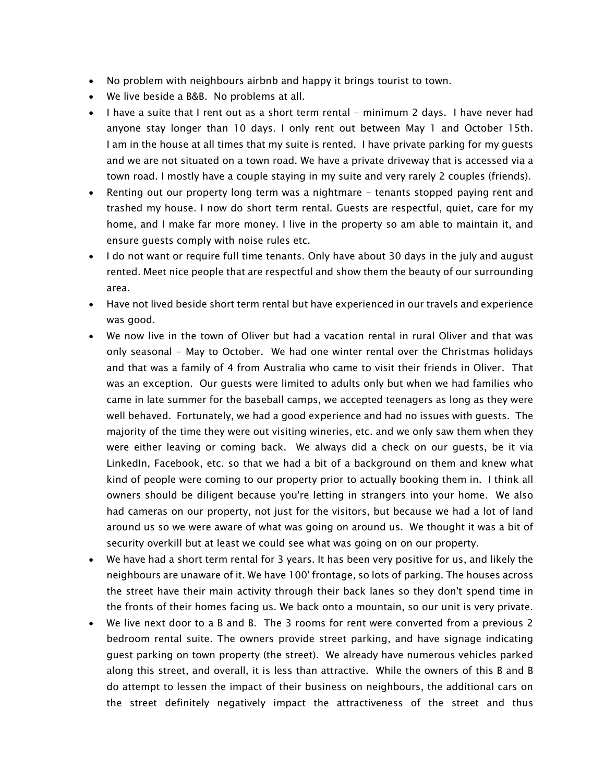- No problem with neighbours airbnb and happy it brings tourist to town.
- We live beside a B&B. No problems at all.
- I have a suite that I rent out as a short term rental minimum 2 days. I have never had anyone stay longer than 10 days. I only rent out between May 1 and October 15th. I am in the house at all times that my suite is rented. I have private parking for my guests and we are not situated on a town road. We have a private driveway that is accessed via a town road. I mostly have a couple staying in my suite and very rarely 2 couples (friends).
- Renting out our property long term was a nightmare tenants stopped paying rent and trashed my house. I now do short term rental. Guests are respectful, quiet, care for my home, and I make far more money. I live in the property so am able to maintain it, and ensure guests comply with noise rules etc.
- I do not want or require full time tenants. Only have about 30 days in the july and august rented. Meet nice people that are respectful and show them the beauty of our surrounding area.
- Have not lived beside short term rental but have experienced in our travels and experience was good.
- We now live in the town of Oliver but had a vacation rental in rural Oliver and that was only seasonal - May to October. We had one winter rental over the Christmas holidays and that was a family of 4 from Australia who came to visit their friends in Oliver. That was an exception. Our guests were limited to adults only but when we had families who came in late summer for the baseball camps, we accepted teenagers as long as they were well behaved. Fortunately, we had a good experience and had no issues with guests. The majority of the time they were out visiting wineries, etc. and we only saw them when they were either leaving or coming back. We always did a check on our guests, be it via LinkedIn, Facebook, etc. so that we had a bit of a background on them and knew what kind of people were coming to our property prior to actually booking them in. I think all owners should be diligent because you're letting in strangers into your home. We also had cameras on our property, not just for the visitors, but because we had a lot of land around us so we were aware of what was going on around us. We thought it was a bit of security overkill but at least we could see what was going on on our property.
- We have had a short term rental for 3 years. It has been very positive for us, and likely the neighbours are unaware of it. We have 100' frontage, so lots of parking. The houses across the street have their main activity through their back lanes so they don't spend time in the fronts of their homes facing us. We back onto a mountain, so our unit is very private.
- We live next door to a B and B. The 3 rooms for rent were converted from a previous 2 bedroom rental suite. The owners provide street parking, and have signage indicating guest parking on town property (the street). We already have numerous vehicles parked along this street, and overall, it is less than attractive. While the owners of this B and B do attempt to lessen the impact of their business on neighbours, the additional cars on the street definitely negatively impact the attractiveness of the street and thus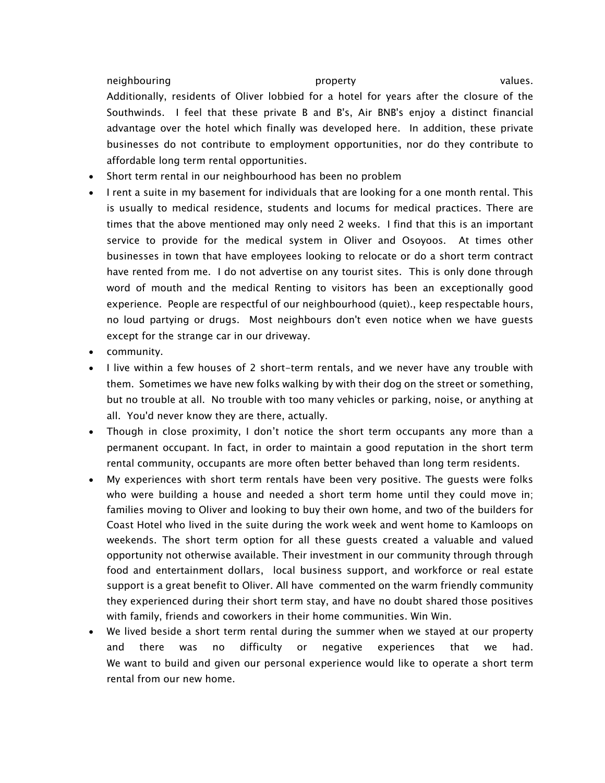neighbouring example and the property controller property and the values. Additionally, residents of Oliver lobbied for a hotel for years after the closure of the Southwinds. I feel that these private B and B's, Air BNB's enjoy a distinct financial advantage over the hotel which finally was developed here. In addition, these private businesses do not contribute to employment opportunities, nor do they contribute to affordable long term rental opportunities.

- Short term rental in our neighbourhood has been no problem
- I rent a suite in my basement for individuals that are looking for a one month rental. This is usually to medical residence, students and locums for medical practices. There are times that the above mentioned may only need 2 weeks. I find that this is an important service to provide for the medical system in Oliver and Osoyoos. At times other businesses in town that have employees looking to relocate or do a short term contract have rented from me. I do not advertise on any tourist sites. This is only done through word of mouth and the medical Renting to visitors has been an exceptionally good experience. People are respectful of our neighbourhood (quiet)., keep respectable hours, no loud partying or drugs. Most neighbours don't even notice when we have guests except for the strange car in our driveway.
- community.
- I live within a few houses of 2 short-term rentals, and we never have any trouble with them. Sometimes we have new folks walking by with their dog on the street or something, but no trouble at all. No trouble with too many vehicles or parking, noise, or anything at all. You'd never know they are there, actually.
- Though in close proximity, I don't notice the short term occupants any more than a permanent occupant. In fact, in order to maintain a good reputation in the short term rental community, occupants are more often better behaved than long term residents.
- My experiences with short term rentals have been very positive. The guests were folks who were building a house and needed a short term home until they could move in; families moving to Oliver and looking to buy their own home, and two of the builders for Coast Hotel who lived in the suite during the work week and went home to Kamloops on weekends. The short term option for all these guests created a valuable and valued opportunity not otherwise available. Their investment in our community through through food and entertainment dollars, local business support, and workforce or real estate support is a great benefit to Oliver. All have commented on the warm friendly community they experienced during their short term stay, and have no doubt shared those positives with family, friends and coworkers in their home communities. Win Win.
- We lived beside a short term rental during the summer when we stayed at our property and there was no difficulty or negative experiences that we had. We want to build and given our personal experience would like to operate a short term rental from our new home.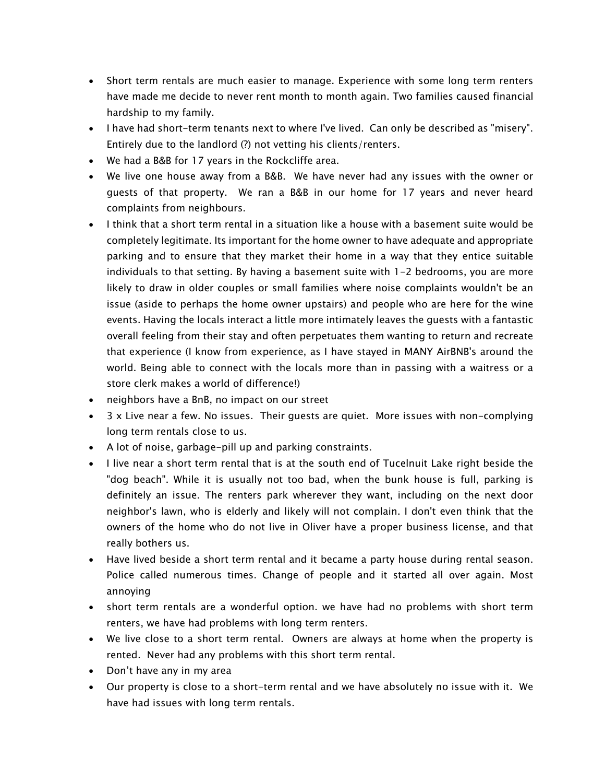- Short term rentals are much easier to manage. Experience with some long term renters have made me decide to never rent month to month again. Two families caused financial hardship to my family.
- I have had short-term tenants next to where I've lived. Can only be described as "misery". Entirely due to the landlord (?) not vetting his clients/renters.
- We had a B&B for 17 years in the Rockcliffe area.
- We live one house away from a B&B. We have never had any issues with the owner or guests of that property. We ran a B&B in our home for 17 years and never heard complaints from neighbours.
- I think that a short term rental in a situation like a house with a basement suite would be completely legitimate. Its important for the home owner to have adequate and appropriate parking and to ensure that they market their home in a way that they entice suitable individuals to that setting. By having a basement suite with 1-2 bedrooms, you are more likely to draw in older couples or small families where noise complaints wouldn't be an issue (aside to perhaps the home owner upstairs) and people who are here for the wine events. Having the locals interact a little more intimately leaves the guests with a fantastic overall feeling from their stay and often perpetuates them wanting to return and recreate that experience (I know from experience, as I have stayed in MANY AirBNB's around the world. Being able to connect with the locals more than in passing with a waitress or a store clerk makes a world of difference!)
- neighbors have a BnB, no impact on our street
- 3 x Live near a few. No issues. Their guests are quiet. More issues with non-complying long term rentals close to us.
- A lot of noise, garbage-pill up and parking constraints.
- I live near a short term rental that is at the south end of Tucelnuit Lake right beside the "dog beach". While it is usually not too bad, when the bunk house is full, parking is definitely an issue. The renters park wherever they want, including on the next door neighbor's lawn, who is elderly and likely will not complain. I don't even think that the owners of the home who do not live in Oliver have a proper business license, and that really bothers us.
- Have lived beside a short term rental and it became a party house during rental season. Police called numerous times. Change of people and it started all over again. Most annoying
- short term rentals are a wonderful option. we have had no problems with short term renters, we have had problems with long term renters.
- We live close to a short term rental. Owners are always at home when the property is rented. Never had any problems with this short term rental.
- Don't have any in my area
- Our property is close to a short-term rental and we have absolutely no issue with it. We have had issues with long term rentals.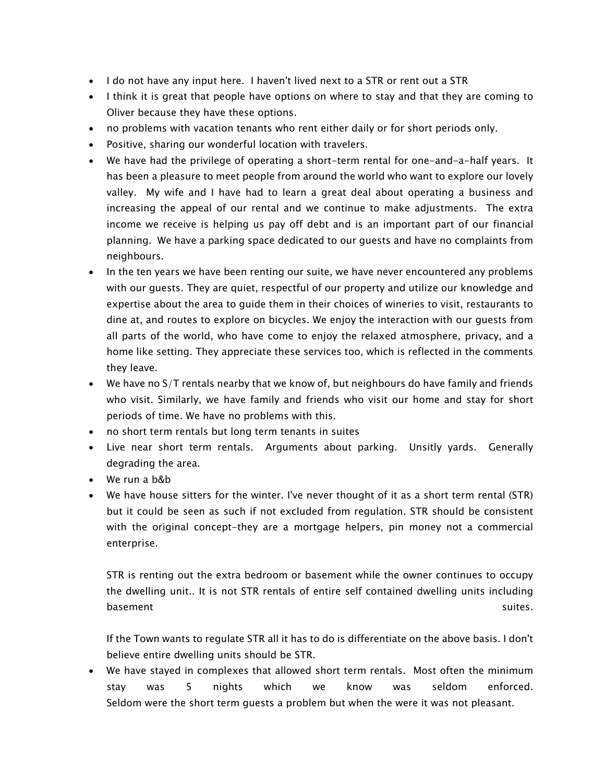- I do not have any input here. I haven't lived next to a STR or rent out a STR
- I think it is great that people have options on where to stay and that they are coming to Oliver because they have these options.
- no problems with vacation tenants who rent either daily or for short periods only.
- Positive, sharing our wonderful location with travelers.
- We have had the privilege of operating a short-term rental for one-and-a-half years. It has been a pleasure to meet people from around the world who want to explore our lovely valley. My wife and I have had to learn a great deal about operating a business and increasing the appeal of our rental and we continue to make adjustments. The extra income we receive is helping us pay off debt and is an important part of our financial planning. We have a parking space dedicated to our guests and have no complaints from neighbours.
- In the ten years we have been renting our suite, we have never encountered any problems with our guests. They are quiet, respectful of our property and utilize our knowledge and expertise about the area to guide them in their choices of wineries to visit, restaurants to dine at, and routes to explore on bicycles. We enjoy the interaction with our guests from all parts of the world, who have come to enjoy the relaxed atmosphere, privacy, and a home like setting. They appreciate these services too, which is reflected in the comments they leave.
- We have no S/T rentals nearby that we know of, but neighbours do have family and friends who visit. Similarly, we have family and friends who visit our home and stay for short periods of time. We have no problems with this.
- no short term rentals but long term tenants in suites
- Live near short term rentals. Arguments about parking. Unsitly yards. Generally degrading the area.
- We run a b&b
- We have house sitters for the winter. I've never thought of it as a short term rental (STR) but it could be seen as such if not excluded from regulation. STR should be consistent with the original concept-they are a mortgage helpers, pin money not a commercial enterprise.

STR is renting out the extra bedroom or basement while the owner continues to occupy the dwelling unit.. It is not STR rentals of entire self contained dwelling units including basement suites. In the suites, the suites of the suites of the suites. In the suites,  $\sim$ 

If the Town wants to regulate STR all it has to do is differentiate on the above basis. I don't believe entire dwelling units should be STR.

We have stayed in complexes that allowed short term rentals. Most often the minimum stay was 5 nights which we know was seldom enforced. Seldom were the short term guests a problem but when the were it was not pleasant.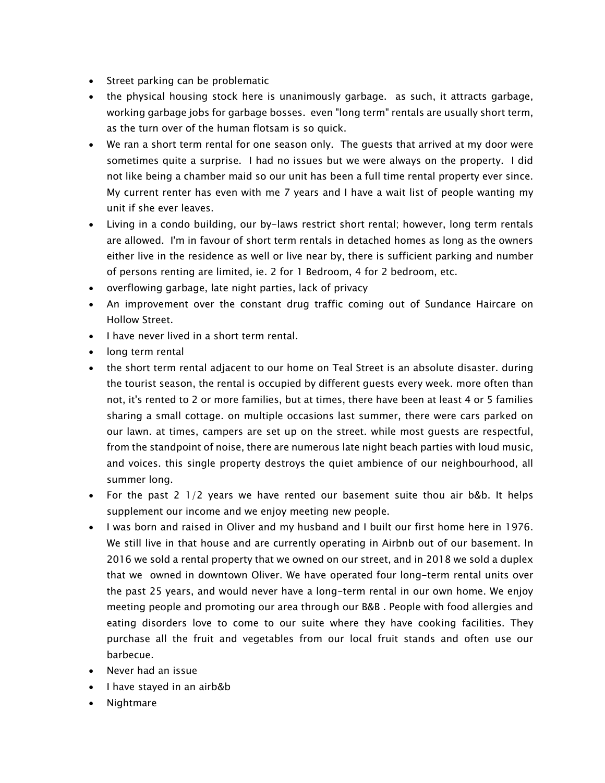- Street parking can be problematic
- the physical housing stock here is unanimously garbage. as such, it attracts garbage, working garbage jobs for garbage bosses. even "long term" rentals are usually short term, as the turn over of the human flotsam is so quick.
- We ran a short term rental for one season only. The guests that arrived at my door were sometimes quite a surprise. I had no issues but we were always on the property. I did not like being a chamber maid so our unit has been a full time rental property ever since. My current renter has even with me 7 years and I have a wait list of people wanting my unit if she ever leaves.
- Living in a condo building, our by-laws restrict short rental; however, long term rentals are allowed. I'm in favour of short term rentals in detached homes as long as the owners either live in the residence as well or live near by, there is sufficient parking and number of persons renting are limited, ie. 2 for 1 Bedroom, 4 for 2 bedroom, etc.
- overflowing garbage, late night parties, lack of privacy
- An improvement over the constant drug traffic coming out of Sundance Haircare on Hollow Street.
- I have never lived in a short term rental.
- long term rental
- the short term rental adjacent to our home on Teal Street is an absolute disaster. during the tourist season, the rental is occupied by different guests every week. more often than not, it's rented to 2 or more families, but at times, there have been at least 4 or 5 families sharing a small cottage. on multiple occasions last summer, there were cars parked on our lawn. at times, campers are set up on the street. while most guests are respectful, from the standpoint of noise, there are numerous late night beach parties with loud music, and voices. this single property destroys the quiet ambience of our neighbourhood, all summer long.
- For the past 2 1/2 years we have rented our basement suite thou air b&b. It helps supplement our income and we enjoy meeting new people.
- I was born and raised in Oliver and my husband and I built our first home here in 1976. We still live in that house and are currently operating in Airbnb out of our basement. In 2016 we sold a rental property that we owned on our street, and in 2018 we sold a duplex that we owned in downtown Oliver. We have operated four long-term rental units over the past 25 years, and would never have a long-term rental in our own home. We enjoy meeting people and promoting our area through our B&B . People with food allergies and eating disorders love to come to our suite where they have cooking facilities. They purchase all the fruit and vegetables from our local fruit stands and often use our barbecue.
- Never had an issue
- I have stayed in an airb&b
- Nightmare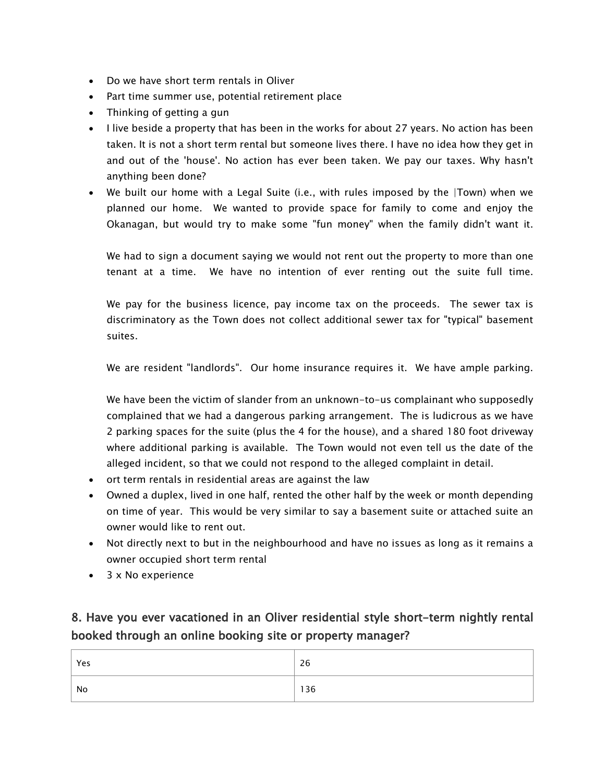- Do we have short term rentals in Oliver
- Part time summer use, potential retirement place
- Thinking of getting a gun
- I live beside a property that has been in the works for about 27 years. No action has been taken. It is not a short term rental but someone lives there. I have no idea how they get in and out of the 'house'. No action has ever been taken. We pay our taxes. Why hasn't anything been done?
- We built our home with a Legal Suite (i.e., with rules imposed by the |Town) when we planned our home. We wanted to provide space for family to come and enjoy the Okanagan, but would try to make some "fun money" when the family didn't want it.

We had to sign a document saying we would not rent out the property to more than one tenant at a time. We have no intention of ever renting out the suite full time.

We pay for the business licence, pay income tax on the proceeds. The sewer tax is discriminatory as the Town does not collect additional sewer tax for "typical" basement suites.

We are resident "landlords". Our home insurance requires it. We have ample parking.

We have been the victim of slander from an unknown-to-us complainant who supposedly complained that we had a dangerous parking arrangement. The is ludicrous as we have 2 parking spaces for the suite (plus the 4 for the house), and a shared 180 foot driveway where additional parking is available. The Town would not even tell us the date of the alleged incident, so that we could not respond to the alleged complaint in detail.

- ort term rentals in residential areas are against the law
- Owned a duplex, lived in one half, rented the other half by the week or month depending on time of year. This would be very similar to say a basement suite or attached suite an owner would like to rent out.
- Not directly next to but in the neighbourhood and have no issues as long as it remains a owner occupied short term rental
- 3 x No experience

## 8. Have you ever vacationed in an Oliver residential style short-term nightly rental booked through an online booking site or property manager?

| Yes | 26  |
|-----|-----|
| No  | 136 |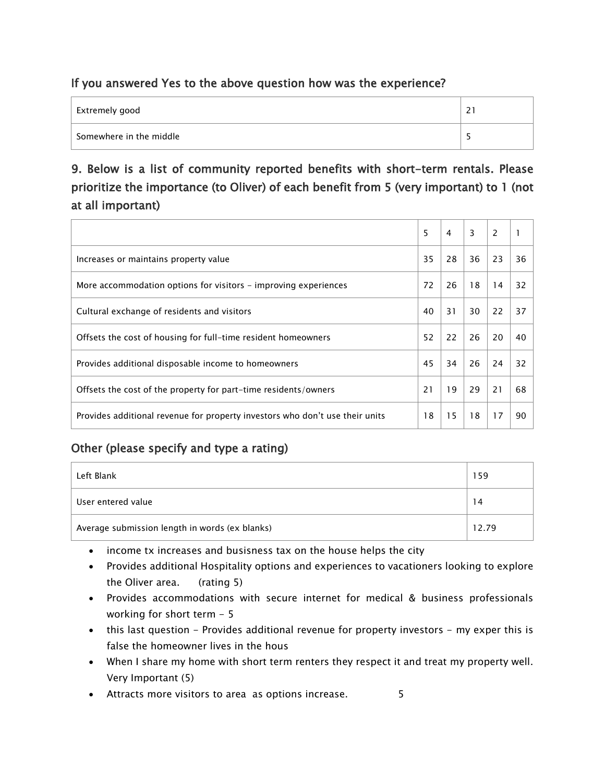### If you answered Yes to the above question how was the experience?

| Extremely good          | $\sim$<br>$\epsilon$ |
|-------------------------|----------------------|
| Somewhere in the middle |                      |

## 9. Below is a list of community reported benefits with short-term rentals. Please prioritize the importance (to Oliver) of each benefit from 5 (very important) to 1 (not at all important)

|                                                                              | 5  | 4  | 3  | 2  |    |
|------------------------------------------------------------------------------|----|----|----|----|----|
| Increases or maintains property value                                        | 35 | 28 | 36 | 23 | 36 |
| More accommodation options for visitors – improving experiences              | 72 | 26 | 18 | 14 | 32 |
| Cultural exchange of residents and visitors                                  | 40 | 31 | 30 | 22 | 37 |
| Offsets the cost of housing for full-time resident homeowners                | 52 | 22 | 26 | 20 | 40 |
| Provides additional disposable income to homeowners                          | 45 | 34 | 26 | 24 | 32 |
| Offsets the cost of the property for part-time residents/owners              | 21 | 19 | 29 | 21 | 68 |
| Provides additional revenue for property investors who don't use their units | 18 | 15 | 18 | 17 | 90 |

### Other (please specify and type a rating)

| Left Blank                                     | 159   |
|------------------------------------------------|-------|
| User entered value                             | 14    |
| Average submission length in words (ex blanks) | 12.79 |

• income tx increases and busisness tax on the house helps the city

- Provides additional Hospitality options and experiences to vacationers looking to explore the Oliver area. (rating 5)
- Provides accommodations with secure internet for medical & business professionals working for short term - 5
- this last question Provides additional revenue for property investors my exper this is false the homeowner lives in the hous
- When I share my home with short term renters they respect it and treat my property well. Very Important (5)
- Attracts more visitors to area as options increase. 5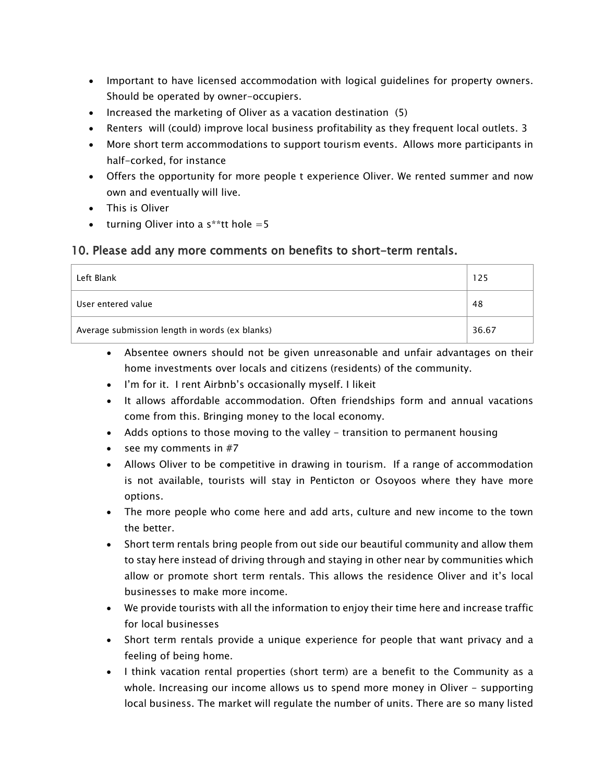- Important to have licensed accommodation with logical guidelines for property owners. Should be operated by owner-occupiers.
- Increased the marketing of Oliver as a vacation destination (5)
- Renters will (could) improve local business profitability as they frequent local outlets. 3
- More short term accommodations to support tourism events. Allows more participants in half-corked, for instance
- Offers the opportunity for more people t experience Oliver. We rented summer and now own and eventually will live.
- This is Oliver
- turning Oliver into a  $s^*$ tt hole = 5

#### 10. Please add any more comments on benefits to short-term rentals.

| Left Blank                                     | 125   |
|------------------------------------------------|-------|
| User entered value                             | 48    |
| Average submission length in words (ex blanks) | 36.67 |

- Absentee owners should not be given unreasonable and unfair advantages on their home investments over locals and citizens (residents) of the community.
- I'm for it. I rent Airbnb's occasionally myself. I likeit
- It allows affordable accommodation. Often friendships form and annual vacations come from this. Bringing money to the local economy.
- Adds options to those moving to the valley transition to permanent housing
- see my comments in  $#7$
- Allows Oliver to be competitive in drawing in tourism. If a range of accommodation is not available, tourists will stay in Penticton or Osoyoos where they have more options.
- The more people who come here and add arts, culture and new income to the town the better.
- Short term rentals bring people from out side our beautiful community and allow them to stay here instead of driving through and staying in other near by communities which allow or promote short term rentals. This allows the residence Oliver and it's local businesses to make more income.
- We provide tourists with all the information to enjoy their time here and increase traffic for local businesses
- Short term rentals provide a unique experience for people that want privacy and a feeling of being home.
- I think vacation rental properties (short term) are a benefit to the Community as a whole. Increasing our income allows us to spend more money in Oliver - supporting local business. The market will regulate the number of units. There are so many listed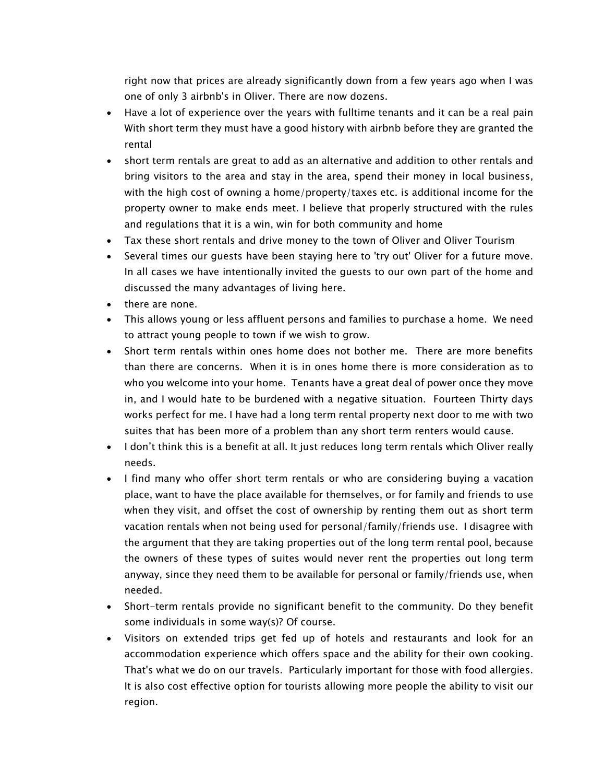right now that prices are already significantly down from a few years ago when I was one of only 3 airbnb's in Oliver. There are now dozens.

- Have a lot of experience over the years with fulltime tenants and it can be a real pain With short term they must have a good history with airbnb before they are granted the rental
- short term rentals are great to add as an alternative and addition to other rentals and bring visitors to the area and stay in the area, spend their money in local business, with the high cost of owning a home/property/taxes etc. is additional income for the property owner to make ends meet. I believe that properly structured with the rules and regulations that it is a win, win for both community and home
- Tax these short rentals and drive money to the town of Oliver and Oliver Tourism
- Several times our guests have been staying here to 'try out' Oliver for a future move. In all cases we have intentionally invited the guests to our own part of the home and discussed the many advantages of living here.
- there are none.
- This allows young or less affluent persons and families to purchase a home. We need to attract young people to town if we wish to grow.
- Short term rentals within ones home does not bother me. There are more benefits than there are concerns. When it is in ones home there is more consideration as to who you welcome into your home. Tenants have a great deal of power once they move in, and I would hate to be burdened with a negative situation. Fourteen Thirty days works perfect for me. I have had a long term rental property next door to me with two suites that has been more of a problem than any short term renters would cause.
- I don't think this is a benefit at all. It just reduces long term rentals which Oliver really needs.
- I find many who offer short term rentals or who are considering buying a vacation place, want to have the place available for themselves, or for family and friends to use when they visit, and offset the cost of ownership by renting them out as short term vacation rentals when not being used for personal/family/friends use. I disagree with the argument that they are taking properties out of the long term rental pool, because the owners of these types of suites would never rent the properties out long term anyway, since they need them to be available for personal or family/friends use, when needed.
- Short-term rentals provide no significant benefit to the community. Do they benefit some individuals in some way(s)? Of course.
- Visitors on extended trips get fed up of hotels and restaurants and look for an accommodation experience which offers space and the ability for their own cooking. That's what we do on our travels. Particularly important for those with food allergies. It is also cost effective option for tourists allowing more people the ability to visit our region.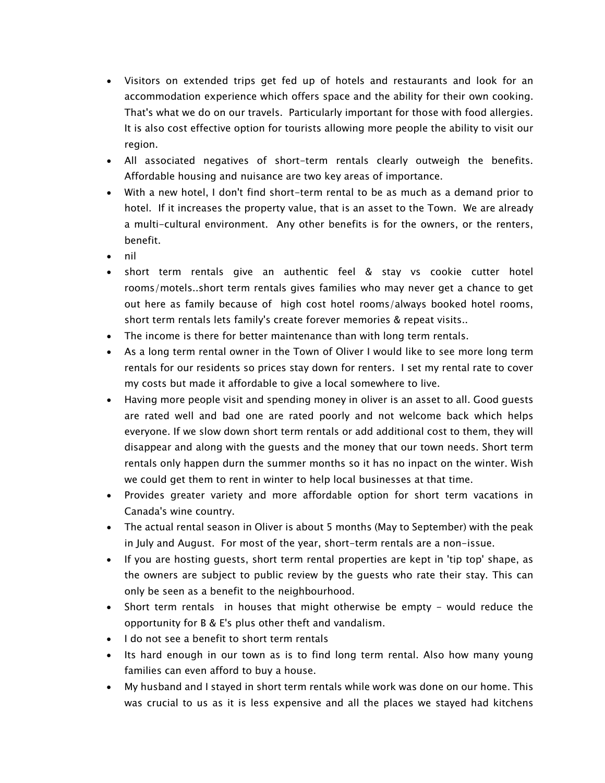- Visitors on extended trips get fed up of hotels and restaurants and look for an accommodation experience which offers space and the ability for their own cooking. That's what we do on our travels. Particularly important for those with food allergies. It is also cost effective option for tourists allowing more people the ability to visit our region.
- All associated negatives of short-term rentals clearly outweigh the benefits. Affordable housing and nuisance are two key areas of importance.
- With a new hotel, I don't find short-term rental to be as much as a demand prior to hotel. If it increases the property value, that is an asset to the Town. We are already a multi-cultural environment. Any other benefits is for the owners, or the renters, benefit.
- nil
- short term rentals give an authentic feel & stay vs cookie cutter hotel rooms/motels..short term rentals gives families who may never get a chance to get out here as family because of high cost hotel rooms/always booked hotel rooms, short term rentals lets family's create forever memories & repeat visits..
- The income is there for better maintenance than with long term rentals.
- As a long term rental owner in the Town of Oliver I would like to see more long term rentals for our residents so prices stay down for renters. I set my rental rate to cover my costs but made it affordable to give a local somewhere to live.
- Having more people visit and spending money in oliver is an asset to all. Good guests are rated well and bad one are rated poorly and not welcome back which helps everyone. If we slow down short term rentals or add additional cost to them, they will disappear and along with the guests and the money that our town needs. Short term rentals only happen durn the summer months so it has no inpact on the winter. Wish we could get them to rent in winter to help local businesses at that time.
- Provides greater variety and more affordable option for short term vacations in Canada's wine country.
- The actual rental season in Oliver is about 5 months (May to September) with the peak in July and August. For most of the year, short-term rentals are a non-issue.
- If you are hosting guests, short term rental properties are kept in 'tip top' shape, as the owners are subject to public review by the guests who rate their stay. This can only be seen as a benefit to the neighbourhood.
- Short term rentals in houses that might otherwise be empty would reduce the opportunity for B & E's plus other theft and vandalism.
- I do not see a benefit to short term rentals
- Its hard enough in our town as is to find long term rental. Also how many young families can even afford to buy a house.
- My husband and I stayed in short term rentals while work was done on our home. This was crucial to us as it is less expensive and all the places we stayed had kitchens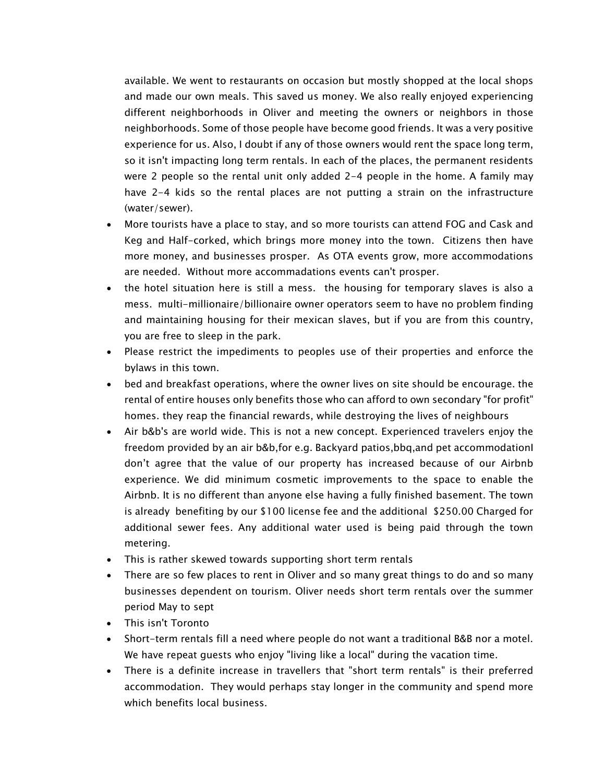available. We went to restaurants on occasion but mostly shopped at the local shops and made our own meals. This saved us money. We also really enjoyed experiencing different neighborhoods in Oliver and meeting the owners or neighbors in those neighborhoods. Some of those people have become good friends. It was a very positive experience for us. Also, I doubt if any of those owners would rent the space long term, so it isn't impacting long term rentals. In each of the places, the permanent residents were 2 people so the rental unit only added 2-4 people in the home. A family may have 2-4 kids so the rental places are not putting a strain on the infrastructure (water/sewer).

- More tourists have a place to stay, and so more tourists can attend FOG and Cask and Keg and Half-corked, which brings more money into the town. Citizens then have more money, and businesses prosper. As OTA events grow, more accommodations are needed. Without more accommadations events can't prosper.
- the hotel situation here is still a mess. the housing for temporary slaves is also a mess. multi-millionaire/billionaire owner operators seem to have no problem finding and maintaining housing for their mexican slaves, but if you are from this country, you are free to sleep in the park.
- Please restrict the impediments to peoples use of their properties and enforce the bylaws in this town.
- bed and breakfast operations, where the owner lives on site should be encourage. the rental of entire houses only benefits those who can afford to own secondary "for profit" homes. they reap the financial rewards, while destroying the lives of neighbours
- Air b&b's are world wide. This is not a new concept. Experienced travelers enjoy the freedom provided by an air b&b,for e.g. Backyard patios,bbq,and pet accommodationI don't agree that the value of our property has increased because of our Airbnb experience. We did minimum cosmetic improvements to the space to enable the Airbnb. It is no different than anyone else having a fully finished basement. The town is already benefiting by our \$100 license fee and the additional \$250.00 Charged for additional sewer fees. Any additional water used is being paid through the town metering.
- This is rather skewed towards supporting short term rentals
- There are so few places to rent in Oliver and so many great things to do and so many businesses dependent on tourism. Oliver needs short term rentals over the summer period May to sept
- This isn't Toronto
- Short-term rentals fill a need where people do not want a traditional B&B nor a motel. We have repeat guests who enjoy "living like a local" during the vacation time.
- There is a definite increase in travellers that "short term rentals" is their preferred accommodation. They would perhaps stay longer in the community and spend more which benefits local business.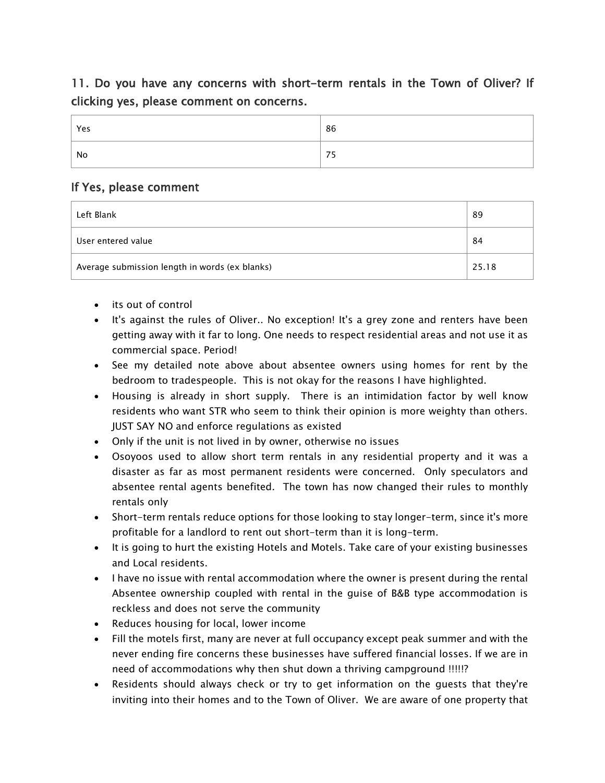## 11. Do you have any concerns with short-term rentals in the Town of Oliver? If clicking yes, please comment on concerns.

| Yes | 86         |
|-----|------------|
| No  | $- -$<br>- |

#### If Yes, please comment

| Left Blank                                     | 89    |
|------------------------------------------------|-------|
| User entered value                             | 84    |
| Average submission length in words (ex blanks) | 25.18 |

- its out of control
- It's against the rules of Oliver.. No exception! It's a grey zone and renters have been getting away with it far to long. One needs to respect residential areas and not use it as commercial space. Period!
- See my detailed note above about absentee owners using homes for rent by the bedroom to tradespeople. This is not okay for the reasons I have highlighted.
- Housing is already in short supply. There is an intimidation factor by well know residents who want STR who seem to think their opinion is more weighty than others. JUST SAY NO and enforce regulations as existed
- Only if the unit is not lived in by owner, otherwise no issues
- Osoyoos used to allow short term rentals in any residential property and it was a disaster as far as most permanent residents were concerned. Only speculators and absentee rental agents benefited. The town has now changed their rules to monthly rentals only
- Short-term rentals reduce options for those looking to stay longer-term, since it's more profitable for a landlord to rent out short-term than it is long-term.
- It is going to hurt the existing Hotels and Motels. Take care of your existing businesses and Local residents.
- I have no issue with rental accommodation where the owner is present during the rental Absentee ownership coupled with rental in the guise of B&B type accommodation is reckless and does not serve the community
- Reduces housing for local, lower income
- Fill the motels first, many are never at full occupancy except peak summer and with the never ending fire concerns these businesses have suffered financial losses. If we are in need of accommodations why then shut down a thriving campground !!!!!?
- Residents should always check or try to get information on the guests that they're inviting into their homes and to the Town of Oliver. We are aware of one property that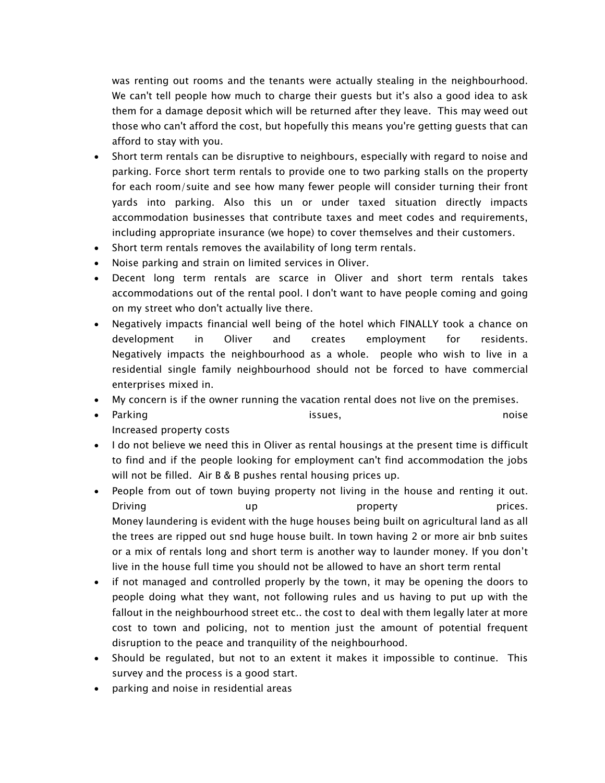was renting out rooms and the tenants were actually stealing in the neighbourhood. We can't tell people how much to charge their guests but it's also a good idea to ask them for a damage deposit which will be returned after they leave. This may weed out those who can't afford the cost, but hopefully this means you're getting guests that can afford to stay with you.

- Short term rentals can be disruptive to neighbours, especially with regard to noise and parking. Force short term rentals to provide one to two parking stalls on the property for each room/suite and see how many fewer people will consider turning their front yards into parking. Also this un or under taxed situation directly impacts accommodation businesses that contribute taxes and meet codes and requirements, including appropriate insurance (we hope) to cover themselves and their customers.
- Short term rentals removes the availability of long term rentals.
- Noise parking and strain on limited services in Oliver.
- Decent long term rentals are scarce in Oliver and short term rentals takes accommodations out of the rental pool. I don't want to have people coming and going on my street who don't actually live there.
- Negatively impacts financial well being of the hotel which FINALLY took a chance on development in Oliver and creates employment for residents. Negatively impacts the neighbourhood as a whole. people who wish to live in a residential single family neighbourhood should not be forced to have commercial enterprises mixed in.
- My concern is if the owner running the vacation rental does not live on the premises.
- Parking issues, noise Increased property costs
- I do not believe we need this in Oliver as rental housings at the present time is difficult to find and if the people looking for employment can't find accommodation the jobs will not be filled. Air B & B pushes rental housing prices up.
- People from out of town buying property not living in the house and renting it out. Driving example the up that the property the prices. The prices of  $p$  prices. Money laundering is evident with the huge houses being built on agricultural land as all the trees are ripped out snd huge house built. In town having 2 or more air bnb suites or a mix of rentals long and short term is another way to launder money. If you don't live in the house full time you should not be allowed to have an short term rental
- if not managed and controlled properly by the town, it may be opening the doors to people doing what they want, not following rules and us having to put up with the fallout in the neighbourhood street etc.. the cost to deal with them legally later at more cost to town and policing, not to mention just the amount of potential frequent disruption to the peace and tranquility of the neighbourhood.
- Should be regulated, but not to an extent it makes it impossible to continue. This survey and the process is a good start.
- parking and noise in residential areas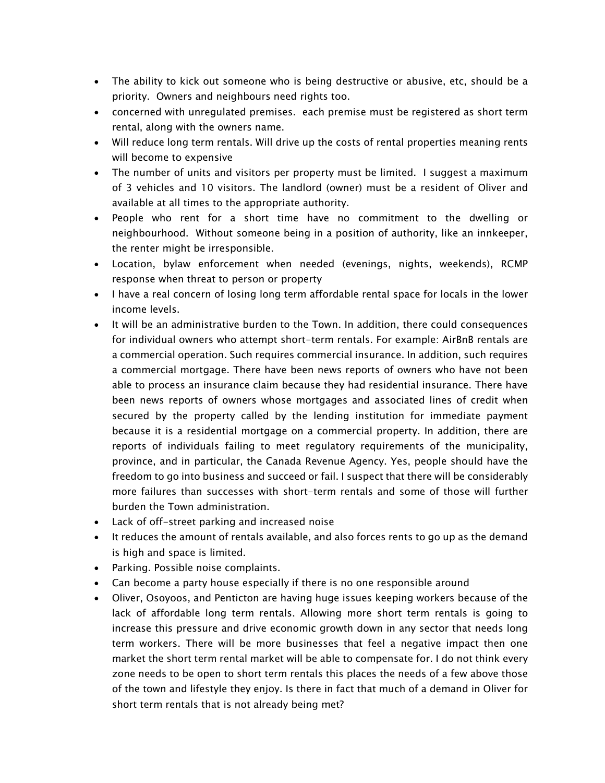- The ability to kick out someone who is being destructive or abusive, etc, should be a priority. Owners and neighbours need rights too.
- concerned with unregulated premises. each premise must be registered as short term rental, along with the owners name.
- Will reduce long term rentals. Will drive up the costs of rental properties meaning rents will become to expensive
- The number of units and visitors per property must be limited. I suggest a maximum of 3 vehicles and 10 visitors. The landlord (owner) must be a resident of Oliver and available at all times to the appropriate authority.
- People who rent for a short time have no commitment to the dwelling or neighbourhood. Without someone being in a position of authority, like an innkeeper, the renter might be irresponsible.
- Location, bylaw enforcement when needed (evenings, nights, weekends), RCMP response when threat to person or property
- I have a real concern of losing long term affordable rental space for locals in the lower income levels.
- It will be an administrative burden to the Town. In addition, there could consequences for individual owners who attempt short-term rentals. For example: AirBnB rentals are a commercial operation. Such requires commercial insurance. In addition, such requires a commercial mortgage. There have been news reports of owners who have not been able to process an insurance claim because they had residential insurance. There have been news reports of owners whose mortgages and associated lines of credit when secured by the property called by the lending institution for immediate payment because it is a residential mortgage on a commercial property. In addition, there are reports of individuals failing to meet regulatory requirements of the municipality, province, and in particular, the Canada Revenue Agency. Yes, people should have the freedom to go into business and succeed or fail. I suspect that there will be considerably more failures than successes with short-term rentals and some of those will further burden the Town administration.
- Lack of off-street parking and increased noise
- It reduces the amount of rentals available, and also forces rents to go up as the demand is high and space is limited.
- Parking. Possible noise complaints.
- Can become a party house especially if there is no one responsible around
- Oliver, Osoyoos, and Penticton are having huge issues keeping workers because of the lack of affordable long term rentals. Allowing more short term rentals is going to increase this pressure and drive economic growth down in any sector that needs long term workers. There will be more businesses that feel a negative impact then one market the short term rental market will be able to compensate for. I do not think every zone needs to be open to short term rentals this places the needs of a few above those of the town and lifestyle they enjoy. Is there in fact that much of a demand in Oliver for short term rentals that is not already being met?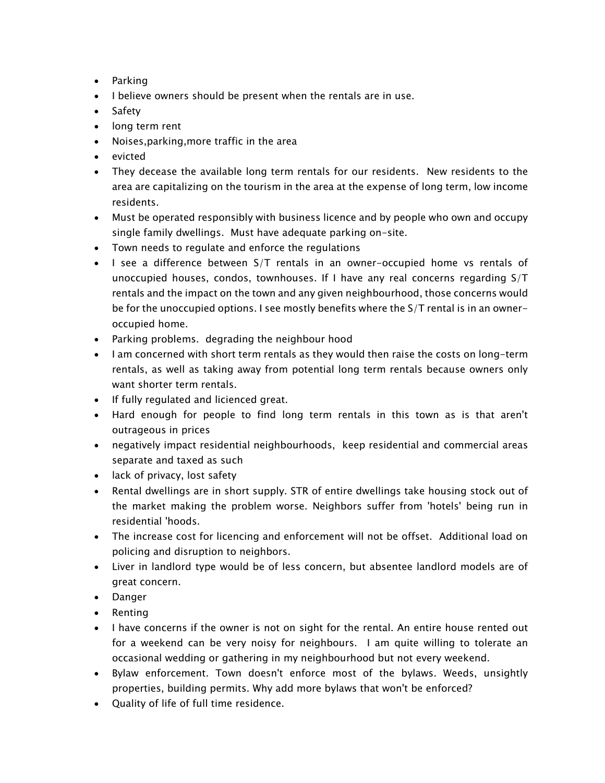- Parking
- I believe owners should be present when the rentals are in use.
- Safety
- long term rent
- Noises,parking,more traffic in the area
- evicted
- They decease the available long term rentals for our residents. New residents to the area are capitalizing on the tourism in the area at the expense of long term, low income residents.
- Must be operated responsibly with business licence and by people who own and occupy single family dwellings. Must have adequate parking on-site.
- Town needs to regulate and enforce the regulations
- I see a difference between S/T rentals in an owner-occupied home vs rentals of unoccupied houses, condos, townhouses. If I have any real concerns regarding S/T rentals and the impact on the town and any given neighbourhood, those concerns would be for the unoccupied options. I see mostly benefits where the S/T rental is in an owneroccupied home.
- Parking problems. degrading the neighbour hood
- I am concerned with short term rentals as they would then raise the costs on long-term rentals, as well as taking away from potential long term rentals because owners only want shorter term rentals.
- If fully regulated and licienced great.
- Hard enough for people to find long term rentals in this town as is that aren't outrageous in prices
- negatively impact residential neighbourhoods, keep residential and commercial areas separate and taxed as such
- lack of privacy, lost safety
- Rental dwellings are in short supply. STR of entire dwellings take housing stock out of the market making the problem worse. Neighbors suffer from 'hotels' being run in residential 'hoods.
- The increase cost for licencing and enforcement will not be offset. Additional load on policing and disruption to neighbors.
- Liver in landlord type would be of less concern, but absentee landlord models are of great concern.
- Danger
- Renting
- I have concerns if the owner is not on sight for the rental. An entire house rented out for a weekend can be very noisy for neighbours. I am quite willing to tolerate an occasional wedding or gathering in my neighbourhood but not every weekend.
- Bylaw enforcement. Town doesn't enforce most of the bylaws. Weeds, unsightly properties, building permits. Why add more bylaws that won't be enforced?
- Quality of life of full time residence.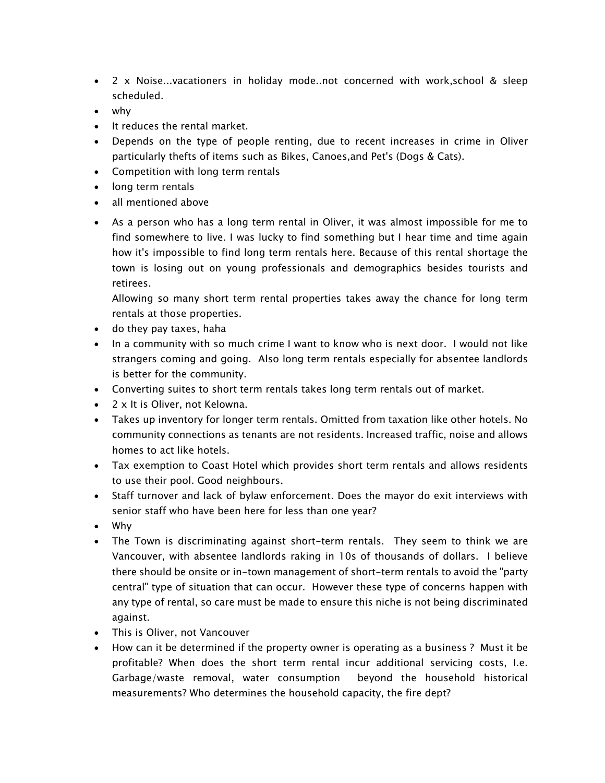- 2 x Noise...vacationers in holiday mode..not concerned with work,school & sleep scheduled.
- why
- It reduces the rental market.
- Depends on the type of people renting, due to recent increases in crime in Oliver particularly thefts of items such as Bikes, Canoes,and Pet's (Dogs & Cats).
- Competition with long term rentals
- long term rentals
- all mentioned above
- As a person who has a long term rental in Oliver, it was almost impossible for me to find somewhere to live. I was lucky to find something but I hear time and time again how it's impossible to find long term rentals here. Because of this rental shortage the town is losing out on young professionals and demographics besides tourists and retirees.

Allowing so many short term rental properties takes away the chance for long term rentals at those properties.

- do they pay taxes, haha
- In a community with so much crime I want to know who is next door. I would not like strangers coming and going. Also long term rentals especially for absentee landlords is better for the community.
- Converting suites to short term rentals takes long term rentals out of market.
- 2 x It is Oliver, not Kelowna.
- Takes up inventory for longer term rentals. Omitted from taxation like other hotels. No community connections as tenants are not residents. Increased traffic, noise and allows homes to act like hotels.
- Tax exemption to Coast Hotel which provides short term rentals and allows residents to use their pool. Good neighbours.
- Staff turnover and lack of bylaw enforcement. Does the mayor do exit interviews with senior staff who have been here for less than one year?
- Why
- The Town is discriminating against short-term rentals. They seem to think we are Vancouver, with absentee landlords raking in 10s of thousands of dollars. I believe there should be onsite or in-town management of short-term rentals to avoid the "party central" type of situation that can occur. However these type of concerns happen with any type of rental, so care must be made to ensure this niche is not being discriminated against.
- This is Oliver, not Vancouver
- How can it be determined if the property owner is operating as a business ? Must it be profitable? When does the short term rental incur additional servicing costs, I.e. Garbage/waste removal, water consumption beyond the household historical measurements? Who determines the household capacity, the fire dept?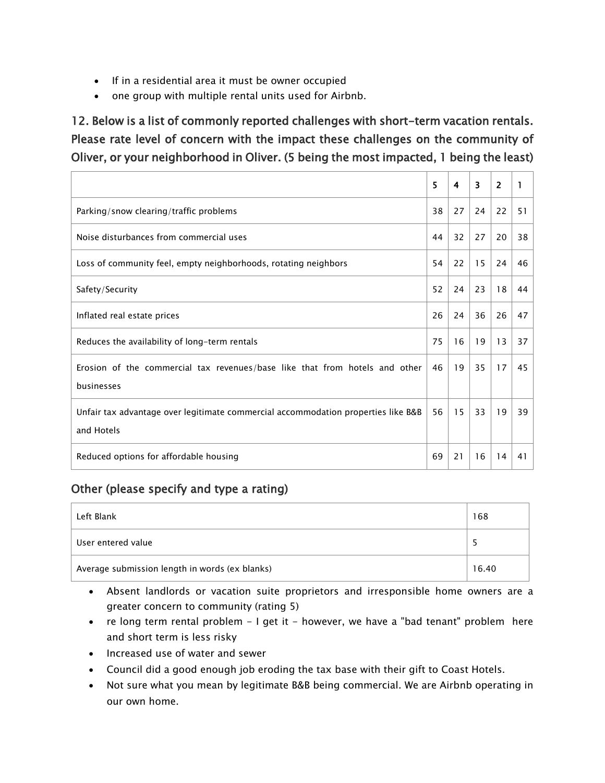- If in a residential area it must be owner occupied
- one group with multiple rental units used for Airbnb.

12. Below is a list of commonly reported challenges with short-term vacation rentals. Please rate level of concern with the impact these challenges on the community of Oliver, or your neighborhood in Oliver. (5 being the most impacted, 1 being the least)

|                                                                                                 | 5  | 4  | 3  | 2  |    |
|-------------------------------------------------------------------------------------------------|----|----|----|----|----|
| Parking/snow clearing/traffic problems                                                          | 38 | 27 | 24 | 22 | 51 |
| Noise disturbances from commercial uses                                                         | 44 | 32 | 27 | 20 | 38 |
| Loss of community feel, empty neighborhoods, rotating neighbors                                 | 54 | 22 | 15 | 24 | 46 |
| Safety/Security                                                                                 | 52 | 24 | 23 | 18 | 44 |
| Inflated real estate prices                                                                     | 26 | 24 | 36 | 26 | 47 |
| Reduces the availability of long-term rentals                                                   | 75 | 16 | 19 | 13 | 37 |
| Erosion of the commercial tax revenues/base like that from hotels and other<br>businesses       | 46 | 19 | 35 | 17 | 45 |
| Unfair tax advantage over legitimate commercial accommodation properties like B&B<br>and Hotels | 56 | 15 | 33 | 19 | 39 |
| Reduced options for affordable housing                                                          | 69 | 21 | 16 | 14 | 41 |

### Other (please specify and type a rating)

| Left Blank                                     | 168   |  |
|------------------------------------------------|-------|--|
| User entered value                             |       |  |
| Average submission length in words (ex blanks) | 16.40 |  |

- Absent landlords or vacation suite proprietors and irresponsible home owners are a greater concern to community (rating 5)
- re long term rental problem I get it however, we have a "bad tenant" problem here and short term is less risky
- Increased use of water and sewer
- Council did a good enough job eroding the tax base with their gift to Coast Hotels.
- Not sure what you mean by legitimate B&B being commercial. We are Airbnb operating in our own home.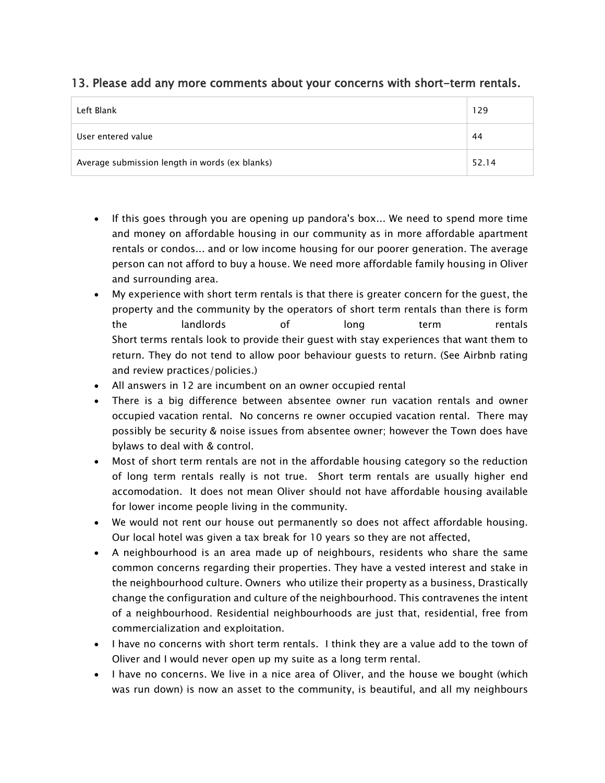#### 13. Please add any more comments about your concerns with short-term rentals.

| Left Blank                                     | 129   |
|------------------------------------------------|-------|
| User entered value                             | 44    |
| Average submission length in words (ex blanks) | 52.14 |

- If this goes through you are opening up pandora's box... We need to spend more time and money on affordable housing in our community as in more affordable apartment rentals or condos... and or low income housing for our poorer generation. The average person can not afford to buy a house. We need more affordable family housing in Oliver and surrounding area.
- My experience with short term rentals is that there is greater concern for the guest, the property and the community by the operators of short term rentals than there is form the landlords of long term rentals Short terms rentals look to provide their guest with stay experiences that want them to return. They do not tend to allow poor behaviour guests to return. (See Airbnb rating and review practices/policies.)
- All answers in 12 are incumbent on an owner occupied rental
- There is a big difference between absentee owner run vacation rentals and owner occupied vacation rental. No concerns re owner occupied vacation rental. There may possibly be security & noise issues from absentee owner; however the Town does have bylaws to deal with & control.
- Most of short term rentals are not in the affordable housing category so the reduction of long term rentals really is not true. Short term rentals are usually higher end accomodation. It does not mean Oliver should not have affordable housing available for lower income people living in the community.
- We would not rent our house out permanently so does not affect affordable housing. Our local hotel was given a tax break for 10 years so they are not affected,
- A neighbourhood is an area made up of neighbours, residents who share the same common concerns regarding their properties. They have a vested interest and stake in the neighbourhood culture. Owners who utilize their property as a business, Drastically change the configuration and culture of the neighbourhood. This contravenes the intent of a neighbourhood. Residential neighbourhoods are just that, residential, free from commercialization and exploitation.
- I have no concerns with short term rentals. I think they are a value add to the town of Oliver and I would never open up my suite as a long term rental.
- I have no concerns. We live in a nice area of Oliver, and the house we bought (which was run down) is now an asset to the community, is beautiful, and all my neighbours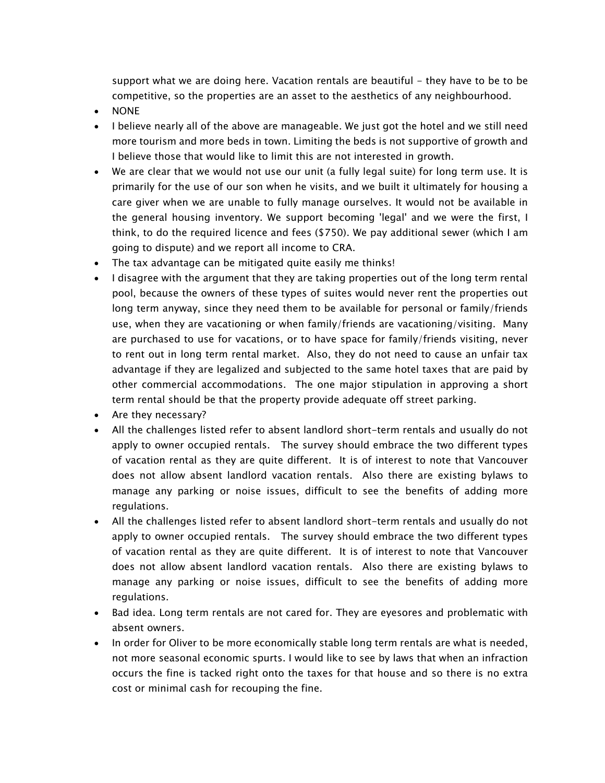support what we are doing here. Vacation rentals are beautiful  $-$  they have to be to be competitive, so the properties are an asset to the aesthetics of any neighbourhood.

- NONE
- I believe nearly all of the above are manageable. We just got the hotel and we still need more tourism and more beds in town. Limiting the beds is not supportive of growth and I believe those that would like to limit this are not interested in growth.
- We are clear that we would not use our unit (a fully legal suite) for long term use. It is primarily for the use of our son when he visits, and we built it ultimately for housing a care giver when we are unable to fully manage ourselves. It would not be available in the general housing inventory. We support becoming 'legal' and we were the first, I think, to do the required licence and fees (\$750). We pay additional sewer (which I am going to dispute) and we report all income to CRA.
- The tax advantage can be mitigated quite easily me thinks!
- I disagree with the argument that they are taking properties out of the long term rental pool, because the owners of these types of suites would never rent the properties out long term anyway, since they need them to be available for personal or family/friends use, when they are vacationing or when family/friends are vacationing/visiting. Many are purchased to use for vacations, or to have space for family/friends visiting, never to rent out in long term rental market. Also, they do not need to cause an unfair tax advantage if they are legalized and subjected to the same hotel taxes that are paid by other commercial accommodations. The one major stipulation in approving a short term rental should be that the property provide adequate off street parking.
- Are they necessary?
- All the challenges listed refer to absent landlord short-term rentals and usually do not apply to owner occupied rentals. The survey should embrace the two different types of vacation rental as they are quite different. It is of interest to note that Vancouver does not allow absent landlord vacation rentals. Also there are existing bylaws to manage any parking or noise issues, difficult to see the benefits of adding more regulations.
- All the challenges listed refer to absent landlord short-term rentals and usually do not apply to owner occupied rentals. The survey should embrace the two different types of vacation rental as they are quite different. It is of interest to note that Vancouver does not allow absent landlord vacation rentals. Also there are existing bylaws to manage any parking or noise issues, difficult to see the benefits of adding more regulations.
- Bad idea. Long term rentals are not cared for. They are eyesores and problematic with absent owners.
- In order for Oliver to be more economically stable long term rentals are what is needed, not more seasonal economic spurts. I would like to see by laws that when an infraction occurs the fine is tacked right onto the taxes for that house and so there is no extra cost or minimal cash for recouping the fine.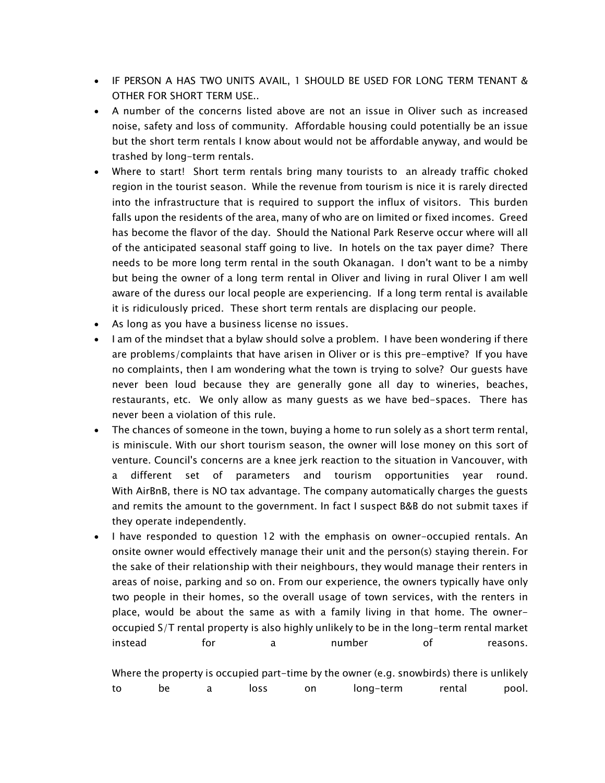- IF PERSON A HAS TWO UNITS AVAIL, 1 SHOULD BE USED FOR LONG TERM TENANT & OTHER FOR SHORT TERM USE..
- A number of the concerns listed above are not an issue in Oliver such as increased noise, safety and loss of community. Affordable housing could potentially be an issue but the short term rentals I know about would not be affordable anyway, and would be trashed by long-term rentals.
- Where to start! Short term rentals bring many tourists to an already traffic choked region in the tourist season. While the revenue from tourism is nice it is rarely directed into the infrastructure that is required to support the influx of visitors. This burden falls upon the residents of the area, many of who are on limited or fixed incomes. Greed has become the flavor of the day. Should the National Park Reserve occur where will all of the anticipated seasonal staff going to live. In hotels on the tax payer dime? There needs to be more long term rental in the south Okanagan. I don't want to be a nimby but being the owner of a long term rental in Oliver and living in rural Oliver I am well aware of the duress our local people are experiencing. If a long term rental is available it is ridiculously priced. These short term rentals are displacing our people.
- As long as you have a business license no issues.
- I am of the mindset that a bylaw should solve a problem. I have been wondering if there are problems/complaints that have arisen in Oliver or is this pre-emptive? If you have no complaints, then I am wondering what the town is trying to solve? Our guests have never been loud because they are generally gone all day to wineries, beaches, restaurants, etc. We only allow as many guests as we have bed-spaces. There has never been a violation of this rule.
- The chances of someone in the town, buying a home to run solely as a short term rental, is miniscule. With our short tourism season, the owner will lose money on this sort of venture. Council's concerns are a knee jerk reaction to the situation in Vancouver, with a different set of parameters and tourism opportunities year round. With AirBnB, there is NO tax advantage. The company automatically charges the guests and remits the amount to the government. In fact I suspect B&B do not submit taxes if they operate independently.
- I have responded to question 12 with the emphasis on owner-occupied rentals. An onsite owner would effectively manage their unit and the person(s) staying therein. For the sake of their relationship with their neighbours, they would manage their renters in areas of noise, parking and so on. From our experience, the owners typically have only two people in their homes, so the overall usage of town services, with the renters in place, would be about the same as with a family living in that home. The owneroccupied S/T rental property is also highly unlikely to be in the long-term rental market instead for a number of reasons.

Where the property is occupied part-time by the owner (e.g. snowbirds) there is unlikely to be a loss on long-term rental pool.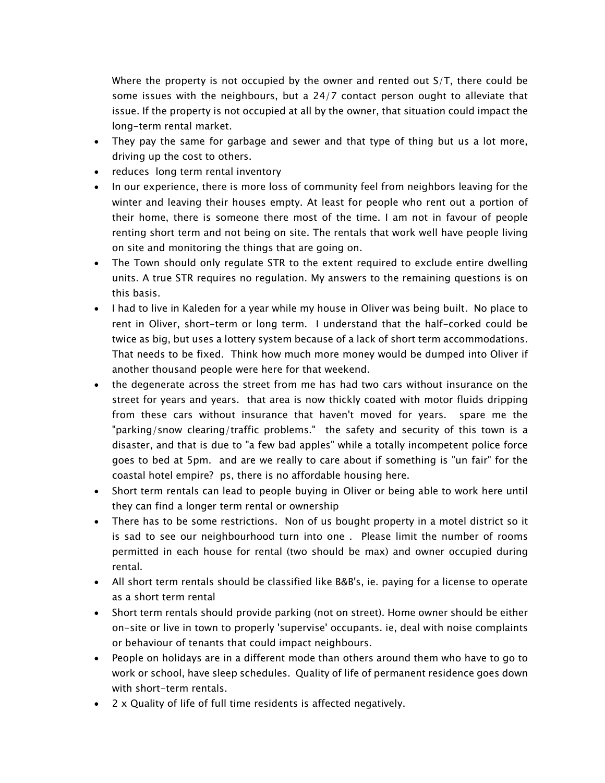Where the property is not occupied by the owner and rented out S/T, there could be some issues with the neighbours, but a 24/7 contact person ought to alleviate that issue. If the property is not occupied at all by the owner, that situation could impact the long-term rental market.

- They pay the same for garbage and sewer and that type of thing but us a lot more, driving up the cost to others.
- reduces long term rental inventory
- In our experience, there is more loss of community feel from neighbors leaving for the winter and leaving their houses empty. At least for people who rent out a portion of their home, there is someone there most of the time. I am not in favour of people renting short term and not being on site. The rentals that work well have people living on site and monitoring the things that are going on.
- The Town should only regulate STR to the extent required to exclude entire dwelling units. A true STR requires no regulation. My answers to the remaining questions is on this basis.
- I had to live in Kaleden for a year while my house in Oliver was being built. No place to rent in Oliver, short-term or long term. I understand that the half-corked could be twice as big, but uses a lottery system because of a lack of short term accommodations. That needs to be fixed. Think how much more money would be dumped into Oliver if another thousand people were here for that weekend.
- the degenerate across the street from me has had two cars without insurance on the street for years and years. that area is now thickly coated with motor fluids dripping from these cars without insurance that haven't moved for years. spare me the "parking/snow clearing/traffic problems." the safety and security of this town is a disaster, and that is due to "a few bad apples" while a totally incompetent police force goes to bed at 5pm. and are we really to care about if something is "un fair" for the coastal hotel empire? ps, there is no affordable housing here.
- Short term rentals can lead to people buying in Oliver or being able to work here until they can find a longer term rental or ownership
- There has to be some restrictions. Non of us bought property in a motel district so it is sad to see our neighbourhood turn into one . Please limit the number of rooms permitted in each house for rental (two should be max) and owner occupied during rental.
- All short term rentals should be classified like B&B's, ie. paying for a license to operate as a short term rental
- Short term rentals should provide parking (not on street). Home owner should be either on-site or live in town to properly 'supervise' occupants. ie, deal with noise complaints or behaviour of tenants that could impact neighbours.
- People on holidays are in a different mode than others around them who have to go to work or school, have sleep schedules. Quality of life of permanent residence goes down with short-term rentals.
- 2 x Quality of life of full time residents is affected negatively.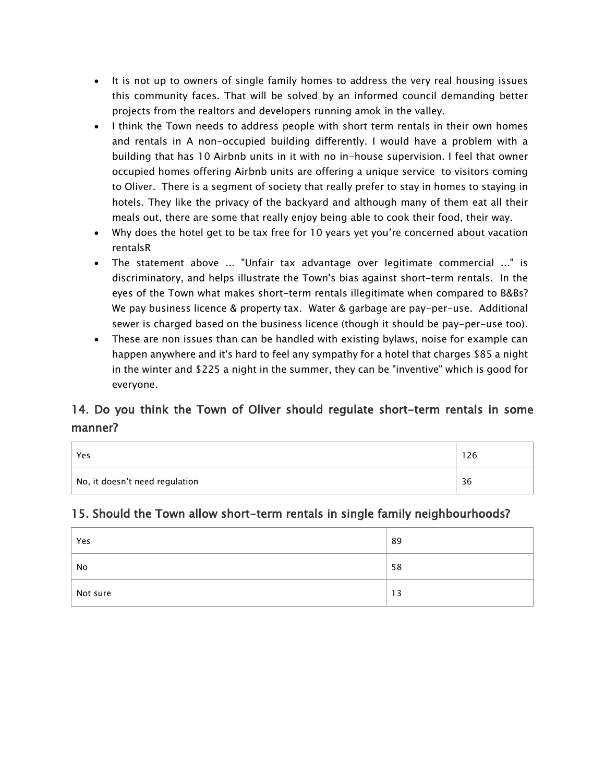- It is not up to owners of single family homes to address the very real housing issues this community faces. That will be solved by an informed council demanding better projects from the realtors and developers running amok in the valley.
- I think the Town needs to address people with short term rentals in their own homes and rentals in A non-occupied building differently. I would have a problem with a building that has 10 Airbnb units in it with no in-house supervision. I feel that owner occupied homes offering Airbnb units are offering a unique service to visitors coming to Oliver. There is a segment of society that really prefer to stay in homes to staying in hotels. They like the privacy of the backyard and although many of them eat all their meals out, there are some that really enjoy being able to cook their food, their way.
- Why does the hotel get to be tax free for 10 years yet you're concerned about vacation rentalsR
- The statement above ... "Unfair tax advantage over legitimate commercial ..." is discriminatory, and helps illustrate the Town's bias against short-term rentals. In the eyes of the Town what makes short-term rentals illegitimate when compared to B&Bs? We pay business licence & property tax. Water & garbage are pay-per-use. Additional sewer is charged based on the business licence (though it should be pay-per-use too).
- These are non issues than can be handled with existing bylaws, noise for example can happen anywhere and it's hard to feel any sympathy for a hotel that charges \$85 a night in the winter and \$225 a night in the summer, they can be "inventive" which is good for everyone.

## 14. Do you think the Town of Oliver should regulate short-term rentals in some manner?

| Yes                            | 26 |
|--------------------------------|----|
| No, it doesn't need regulation | 36 |

#### 15. Should the Town allow short-term rentals in single family neighbourhoods?

| Yes      | 89 |
|----------|----|
| No       | 58 |
| Not sure | 13 |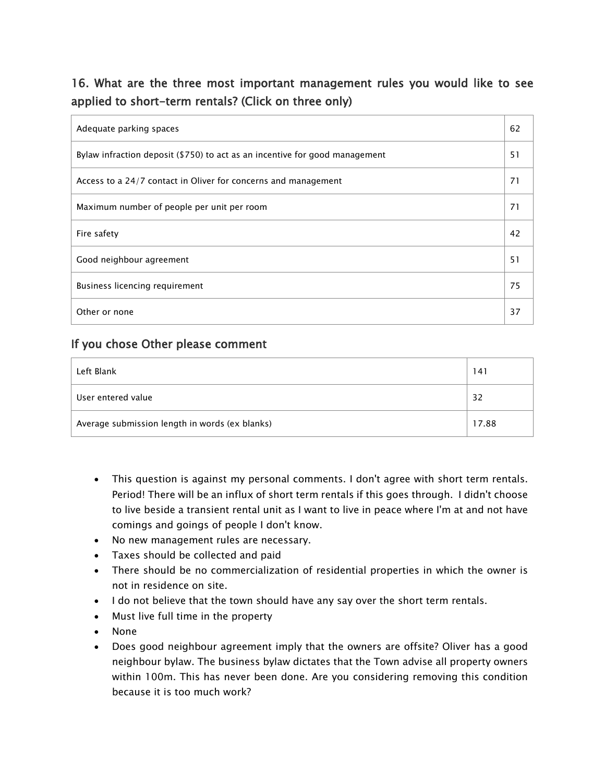## 16. What are the three most important management rules you would like to see applied to short-term rentals? (Click on three only)

| Adequate parking spaces                                                     | 62 |
|-----------------------------------------------------------------------------|----|
| Bylaw infraction deposit (\$750) to act as an incentive for good management | 51 |
| Access to a 24/7 contact in Oliver for concerns and management              | 71 |
| Maximum number of people per unit per room                                  | 71 |
| Fire safety                                                                 | 42 |
| Good neighbour agreement                                                    | 51 |
| Business licencing requirement                                              | 75 |
| Other or none                                                               | 37 |

### If you chose Other please comment

| Left Blank                                     | 141   |
|------------------------------------------------|-------|
| User entered value                             | 32    |
| Average submission length in words (ex blanks) | 17.88 |

- This question is against my personal comments. I don't agree with short term rentals. Period! There will be an influx of short term rentals if this goes through. I didn't choose to live beside a transient rental unit as I want to live in peace where I'm at and not have comings and goings of people I don't know.
- No new management rules are necessary.
- Taxes should be collected and paid
- There should be no commercialization of residential properties in which the owner is not in residence on site.
- I do not believe that the town should have any say over the short term rentals.
- Must live full time in the property
- None
- Does good neighbour agreement imply that the owners are offsite? Oliver has a good neighbour bylaw. The business bylaw dictates that the Town advise all property owners within 100m. This has never been done. Are you considering removing this condition because it is too much work?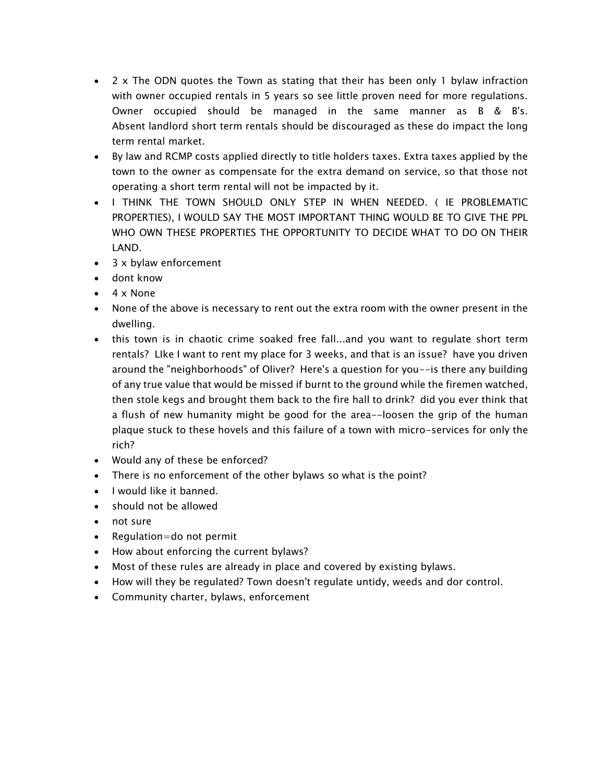- 2 x The ODN quotes the Town as stating that their has been only 1 bylaw infraction with owner occupied rentals in 5 years so see little proven need for more regulations. Owner occupied should be managed in the same manner as B & B's. Absent landlord short term rentals should be discouraged as these do impact the long term rental market.
- By law and RCMP costs applied directly to title holders taxes. Extra taxes applied by the town to the owner as compensate for the extra demand on service, so that those not operating a short term rental will not be impacted by it.
- I THINK THE TOWN SHOULD ONLY STEP IN WHEN NEEDED. ( IE PROBLEMATIC PROPERTIES), I WOULD SAY THE MOST IMPORTANT THING WOULD BE TO GIVE THE PPL WHO OWN THESE PROPERTIES THE OPPORTUNITY TO DECIDE WHAT TO DO ON THEIR LAND.
- 3 x bylaw enforcement
- dont know
- 4 x None
- None of the above is necessary to rent out the extra room with the owner present in the dwelling.
- this town is in chaotic crime soaked free fall...and you want to regulate short term rentals? LIke I want to rent my place for 3 weeks, and that is an issue? have you driven around the "neighborhoods" of Oliver? Here's a question for you--is there any building of any true value that would be missed if burnt to the ground while the firemen watched, then stole kegs and brought them back to the fire hall to drink? did you ever think that a flush of new humanity might be good for the area--loosen the grip of the human plaque stuck to these hovels and this failure of a town with micro-services for only the rich?
- Would any of these be enforced?
- There is no enforcement of the other bylaws so what is the point?
- I would like it banned.
- should not be allowed
- not sure
- Regulation=do not permit
- How about enforcing the current bylaws?
- Most of these rules are already in place and covered by existing bylaws.
- How will they be regulated? Town doesn't regulate untidy, weeds and dor control.
- Community charter, bylaws, enforcement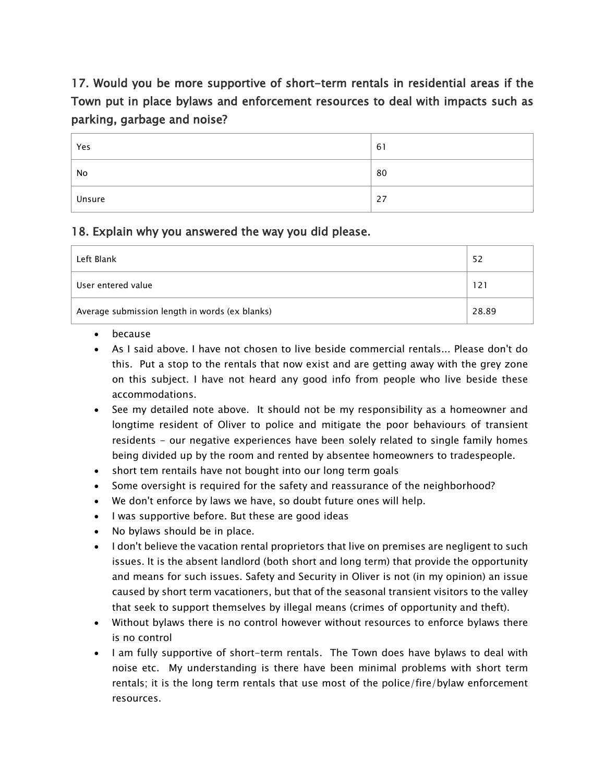## 17. Would you be more supportive of short-term rentals in residential areas if the Town put in place bylaws and enforcement resources to deal with impacts such as parking, garbage and noise?

| Yes    | 61 |
|--------|----|
| No     | 80 |
| Unsure | 27 |

### 18. Explain why you answered the way you did please.

| Left Blank                                     | 52    |
|------------------------------------------------|-------|
| User entered value                             | 121   |
| Average submission length in words (ex blanks) | 28.89 |

- because
- As I said above. I have not chosen to live beside commercial rentals... Please don't do this. Put a stop to the rentals that now exist and are getting away with the grey zone on this subject. I have not heard any good info from people who live beside these accommodations.
- See my detailed note above. It should not be my responsibility as a homeowner and longtime resident of Oliver to police and mitigate the poor behaviours of transient residents - our negative experiences have been solely related to single family homes being divided up by the room and rented by absentee homeowners to tradespeople.
- short tem rentails have not bought into our long term goals
- Some oversight is required for the safety and reassurance of the neighborhood?
- We don't enforce by laws we have, so doubt future ones will help.
- I was supportive before. But these are good ideas
- No bylaws should be in place.
- I don't believe the vacation rental proprietors that live on premises are negligent to such issues. It is the absent landlord (both short and long term) that provide the opportunity and means for such issues. Safety and Security in Oliver is not (in my opinion) an issue caused by short term vacationers, but that of the seasonal transient visitors to the valley that seek to support themselves by illegal means (crimes of opportunity and theft).
- Without bylaws there is no control however without resources to enforce bylaws there is no control
- I am fully supportive of short-term rentals. The Town does have bylaws to deal with noise etc. My understanding is there have been minimal problems with short term rentals; it is the long term rentals that use most of the police/fire/bylaw enforcement resources.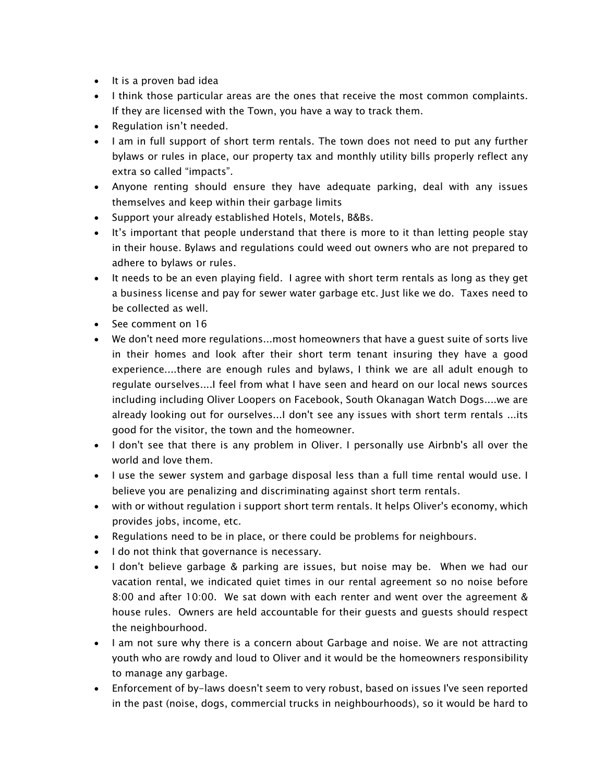- It is a proven bad idea
- I think those particular areas are the ones that receive the most common complaints. If they are licensed with the Town, you have a way to track them.
- Regulation isn't needed.
- I am in full support of short term rentals. The town does not need to put any further bylaws or rules in place, our property tax and monthly utility bills properly reflect any extra so called "impacts".
- Anyone renting should ensure they have adequate parking, deal with any issues themselves and keep within their garbage limits
- Support your already established Hotels, Motels, B&Bs.
- It's important that people understand that there is more to it than letting people stay in their house. Bylaws and regulations could weed out owners who are not prepared to adhere to bylaws or rules.
- It needs to be an even playing field. I agree with short term rentals as long as they get a business license and pay for sewer water garbage etc. Just like we do. Taxes need to be collected as well.
- See comment on 16
- We don't need more regulations...most homeowners that have a quest suite of sorts live in their homes and look after their short term tenant insuring they have a good experience....there are enough rules and bylaws, I think we are all adult enough to regulate ourselves....I feel from what I have seen and heard on our local news sources including including Oliver Loopers on Facebook, South Okanagan Watch Dogs....we are already looking out for ourselves...I don't see any issues with short term rentals ...its good for the visitor, the town and the homeowner.
- I don't see that there is any problem in Oliver. I personally use Airbnb's all over the world and love them.
- I use the sewer system and garbage disposal less than a full time rental would use. I believe you are penalizing and discriminating against short term rentals.
- with or without regulation i support short term rentals. It helps Oliver's economy, which provides jobs, income, etc.
- Regulations need to be in place, or there could be problems for neighbours.
- I do not think that governance is necessary.
- I don't believe garbage & parking are issues, but noise may be. When we had our vacation rental, we indicated quiet times in our rental agreement so no noise before 8:00 and after 10:00. We sat down with each renter and went over the agreement & house rules. Owners are held accountable for their guests and guests should respect the neighbourhood.
- I am not sure why there is a concern about Garbage and noise. We are not attracting youth who are rowdy and loud to Oliver and it would be the homeowners responsibility to manage any garbage.
- Enforcement of by-laws doesn't seem to very robust, based on issues I've seen reported in the past (noise, dogs, commercial trucks in neighbourhoods), so it would be hard to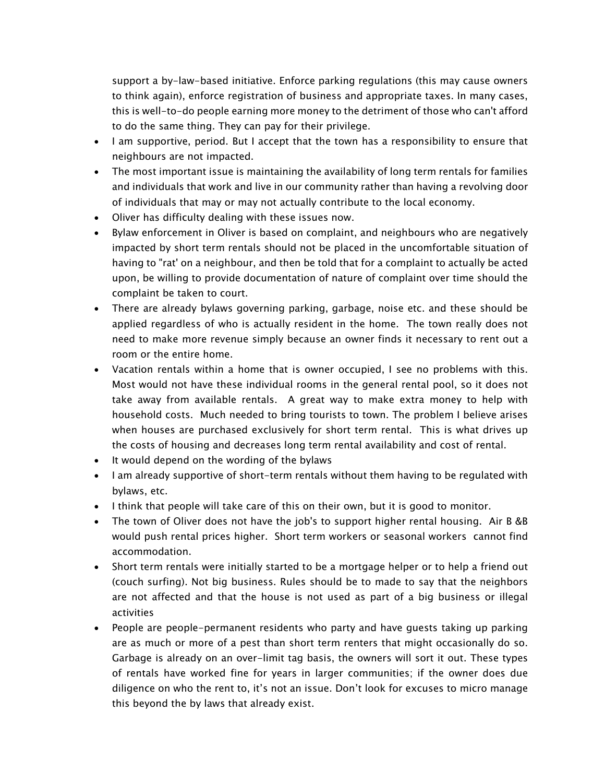support a by-law-based initiative. Enforce parking regulations (this may cause owners to think again), enforce registration of business and appropriate taxes. In many cases, this is well-to-do people earning more money to the detriment of those who can't afford to do the same thing. They can pay for their privilege.

- I am supportive, period. But I accept that the town has a responsibility to ensure that neighbours are not impacted.
- The most important issue is maintaining the availability of long term rentals for families and individuals that work and live in our community rather than having a revolving door of individuals that may or may not actually contribute to the local economy.
- Oliver has difficulty dealing with these issues now.
- Bylaw enforcement in Oliver is based on complaint, and neighbours who are negatively impacted by short term rentals should not be placed in the uncomfortable situation of having to "rat' on a neighbour, and then be told that for a complaint to actually be acted upon, be willing to provide documentation of nature of complaint over time should the complaint be taken to court.
- There are already bylaws governing parking, garbage, noise etc. and these should be applied regardless of who is actually resident in the home. The town really does not need to make more revenue simply because an owner finds it necessary to rent out a room or the entire home.
- Vacation rentals within a home that is owner occupied, I see no problems with this. Most would not have these individual rooms in the general rental pool, so it does not take away from available rentals. A great way to make extra money to help with household costs. Much needed to bring tourists to town. The problem I believe arises when houses are purchased exclusively for short term rental. This is what drives up the costs of housing and decreases long term rental availability and cost of rental.
- It would depend on the wording of the bylaws
- I am already supportive of short-term rentals without them having to be regulated with bylaws, etc.
- I think that people will take care of this on their own, but it is good to monitor.
- The town of Oliver does not have the job's to support higher rental housing. Air B &B would push rental prices higher. Short term workers or seasonal workers cannot find accommodation.
- Short term rentals were initially started to be a mortgage helper or to help a friend out (couch surfing). Not big business. Rules should be to made to say that the neighbors are not affected and that the house is not used as part of a big business or illegal activities
- People are people-permanent residents who party and have guests taking up parking are as much or more of a pest than short term renters that might occasionally do so. Garbage is already on an over-limit tag basis, the owners will sort it out. These types of rentals have worked fine for years in larger communities; if the owner does due diligence on who the rent to, it's not an issue. Don't look for excuses to micro manage this beyond the by laws that already exist.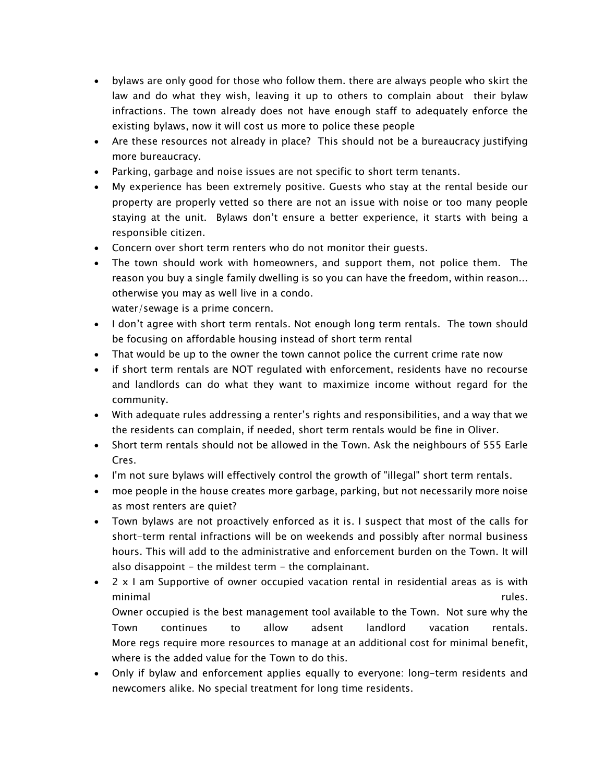- bylaws are only good for those who follow them. there are always people who skirt the law and do what they wish, leaving it up to others to complain about their bylaw infractions. The town already does not have enough staff to adequately enforce the existing bylaws, now it will cost us more to police these people
- Are these resources not already in place? This should not be a bureaucracy justifying more bureaucracy.
- Parking, garbage and noise issues are not specific to short term tenants.
- My experience has been extremely positive. Guests who stay at the rental beside our property are properly vetted so there are not an issue with noise or too many people staying at the unit. Bylaws don't ensure a better experience, it starts with being a responsible citizen.
- Concern over short term renters who do not monitor their guests.
- The town should work with homeowners, and support them, not police them. The reason you buy a single family dwelling is so you can have the freedom, within reason... otherwise you may as well live in a condo.

water/sewage is a prime concern.

- I don't agree with short term rentals. Not enough long term rentals. The town should be focusing on affordable housing instead of short term rental
- That would be up to the owner the town cannot police the current crime rate now
- if short term rentals are NOT regulated with enforcement, residents have no recourse and landlords can do what they want to maximize income without regard for the community.
- With adequate rules addressing a renter's rights and responsibilities, and a way that we the residents can complain, if needed, short term rentals would be fine in Oliver.
- Short term rentals should not be allowed in the Town. Ask the neighbours of 555 Earle Cres.
- I'm not sure bylaws will effectively control the growth of "illegal" short term rentals.
- moe people in the house creates more garbage, parking, but not necessarily more noise as most renters are quiet?
- Town bylaws are not proactively enforced as it is. I suspect that most of the calls for short-term rental infractions will be on weekends and possibly after normal business hours. This will add to the administrative and enforcement burden on the Town. It will also disappoint  $-$  the mildest term  $-$  the complainant.
- 2 x I am Supportive of owner occupied vacation rental in residential areas as is with minimal rules. The contract of the contract of the contract of the contract of the contract of the contract of Owner occupied is the best management tool available to the Town. Not sure why the Town continues to allow adsent landlord vacation rentals. More regs require more resources to manage at an additional cost for minimal benefit, where is the added value for the Town to do this.
- Only if bylaw and enforcement applies equally to everyone: long-term residents and newcomers alike. No special treatment for long time residents.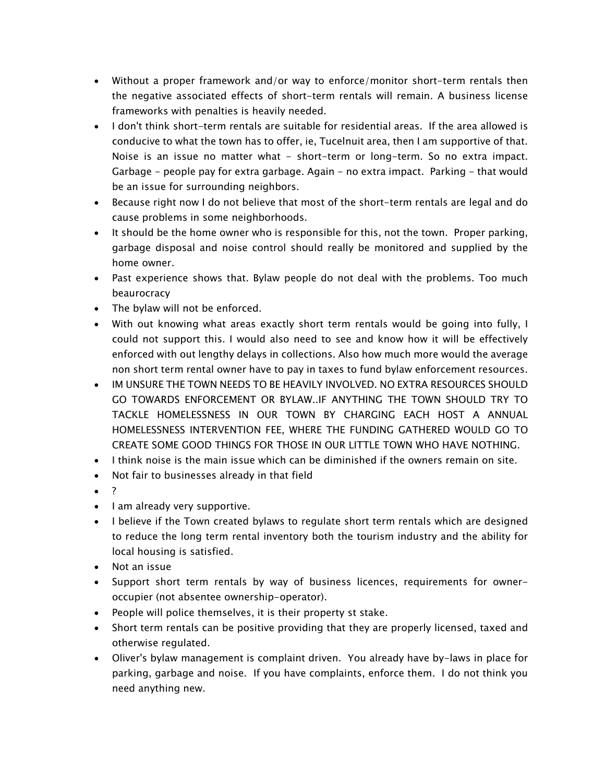- Without a proper framework and/or way to enforce/monitor short-term rentals then the negative associated effects of short-term rentals will remain. A business license frameworks with penalties is heavily needed.
- I don't think short-term rentals are suitable for residential areas. If the area allowed is conducive to what the town has to offer, ie, Tucelnuit area, then I am supportive of that. Noise is an issue no matter what - short-term or long-term. So no extra impact. Garbage - people pay for extra garbage. Again - no extra impact. Parking - that would be an issue for surrounding neighbors.
- Because right now I do not believe that most of the short-term rentals are legal and do cause problems in some neighborhoods.
- It should be the home owner who is responsible for this, not the town. Proper parking, garbage disposal and noise control should really be monitored and supplied by the home owner.
- Past experience shows that. Bylaw people do not deal with the problems. Too much beaurocracy
- The bylaw will not be enforced.
- With out knowing what areas exactly short term rentals would be going into fully, I could not support this. I would also need to see and know how it will be effectively enforced with out lengthy delays in collections. Also how much more would the average non short term rental owner have to pay in taxes to fund bylaw enforcement resources.
- IM UNSURE THE TOWN NEEDS TO BE HEAVILY INVOLVED. NO EXTRA RESOURCES SHOULD GO TOWARDS ENFORCEMENT OR BYLAW..IF ANYTHING THE TOWN SHOULD TRY TO TACKLE HOMELESSNESS IN OUR TOWN BY CHARGING EACH HOST A ANNUAL HOMELESSNESS INTERVENTION FEE, WHERE THE FUNDING GATHERED WOULD GO TO CREATE SOME GOOD THINGS FOR THOSE IN OUR LITTLE TOWN WHO HAVE NOTHING.
- I think noise is the main issue which can be diminished if the owners remain on site.
- Not fair to businesses already in that field
- $\bullet$
- I am already very supportive.
- I believe if the Town created bylaws to regulate short term rentals which are designed to reduce the long term rental inventory both the tourism industry and the ability for local housing is satisfied.
- Not an issue
- Support short term rentals by way of business licences, requirements for owneroccupier (not absentee ownership-operator).
- People will police themselves, it is their property st stake.
- Short term rentals can be positive providing that they are properly licensed, taxed and otherwise regulated.
- Oliver's bylaw management is complaint driven. You already have by-laws in place for parking, garbage and noise. If you have complaints, enforce them. I do not think you need anything new.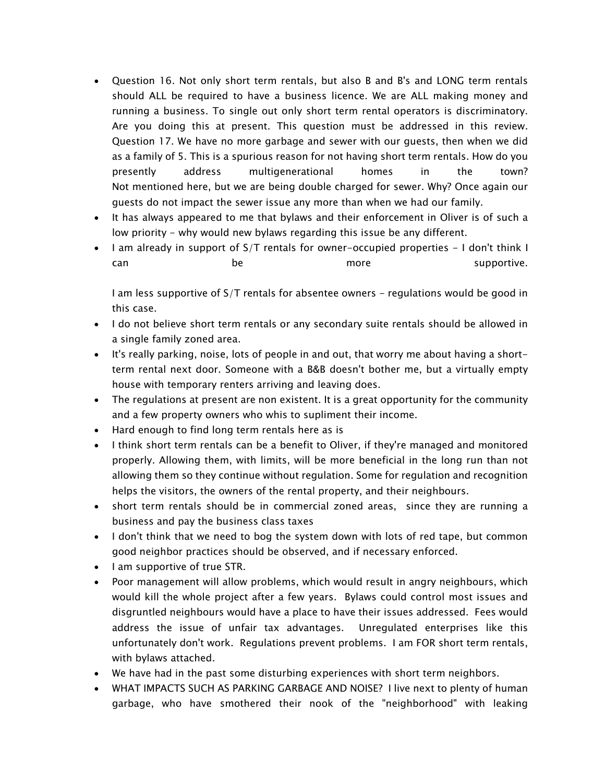- Question 16. Not only short term rentals, but also B and B's and LONG term rentals should ALL be required to have a business licence. We are ALL making money and running a business. To single out only short term rental operators is discriminatory. Are you doing this at present. This question must be addressed in this review. Question 17. We have no more garbage and sewer with our guests, then when we did as a family of 5. This is a spurious reason for not having short term rentals. How do you presently address multigenerational homes in the town? Not mentioned here, but we are being double charged for sewer. Why? Once again our guests do not impact the sewer issue any more than when we had our family.
- It has always appeared to me that bylaws and their enforcement in Oliver is of such a low priority - why would new bylaws regarding this issue be any different.
- I am already in support of S/T rentals for owner-occupied properties I don't think I can be be more supportive.

I am less supportive of S/T rentals for absentee owners - regulations would be good in this case.

- I do not believe short term rentals or any secondary suite rentals should be allowed in a single family zoned area.
- It's really parking, noise, lots of people in and out, that worry me about having a shortterm rental next door. Someone with a B&B doesn't bother me, but a virtually empty house with temporary renters arriving and leaving does.
- The regulations at present are non existent. It is a great opportunity for the community and a few property owners who whis to supliment their income.
- Hard enough to find long term rentals here as is
- I think short term rentals can be a benefit to Oliver, if they're managed and monitored properly. Allowing them, with limits, will be more beneficial in the long run than not allowing them so they continue without regulation. Some for regulation and recognition helps the visitors, the owners of the rental property, and their neighbours.
- short term rentals should be in commercial zoned areas, since they are running a business and pay the business class taxes
- I don't think that we need to bog the system down with lots of red tape, but common good neighbor practices should be observed, and if necessary enforced.
- I am supportive of true STR.
- Poor management will allow problems, which would result in angry neighbours, which would kill the whole project after a few years. Bylaws could control most issues and disgruntled neighbours would have a place to have their issues addressed. Fees would address the issue of unfair tax advantages. Unregulated enterprises like this unfortunately don't work. Regulations prevent problems. I am FOR short term rentals, with bylaws attached.
- We have had in the past some disturbing experiences with short term neighbors.
- WHAT IMPACTS SUCH AS PARKING GARBAGE AND NOISE? I live next to plenty of human garbage, who have smothered their nook of the "neighborhood" with leaking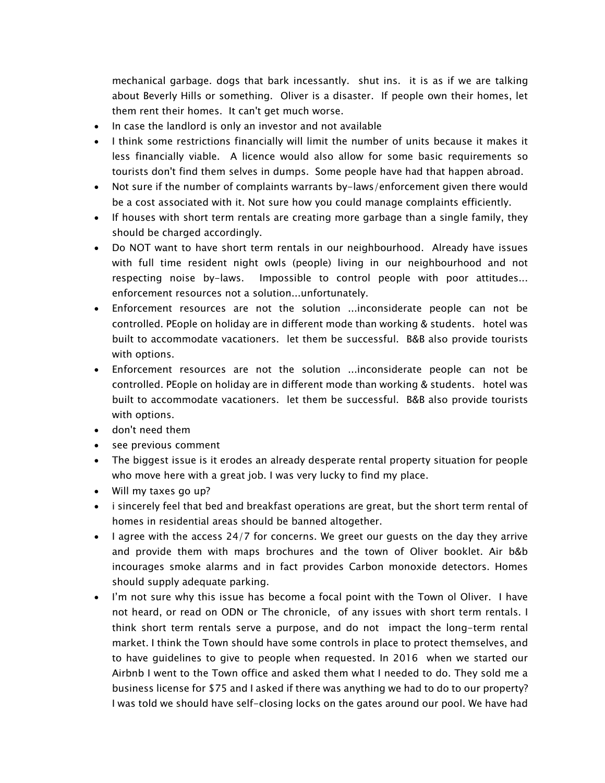mechanical garbage. dogs that bark incessantly. shut ins. it is as if we are talking about Beverly Hills or something. Oliver is a disaster. If people own their homes, let them rent their homes. It can't get much worse.

- In case the landlord is only an investor and not available
- I think some restrictions financially will limit the number of units because it makes it less financially viable. A licence would also allow for some basic requirements so tourists don't find them selves in dumps. Some people have had that happen abroad.
- Not sure if the number of complaints warrants by-laws/enforcement given there would be a cost associated with it. Not sure how you could manage complaints efficiently.
- If houses with short term rentals are creating more garbage than a single family, they should be charged accordingly.
- Do NOT want to have short term rentals in our neighbourhood. Already have issues with full time resident night owls (people) living in our neighbourhood and not respecting noise by-laws. Impossible to control people with poor attitudes... enforcement resources not a solution...unfortunately.
- Enforcement resources are not the solution ...inconsiderate people can not be controlled. PEople on holiday are in different mode than working & students. hotel was built to accommodate vacationers. let them be successful. B&B also provide tourists with options.
- Enforcement resources are not the solution ...inconsiderate people can not be controlled. PEople on holiday are in different mode than working & students. hotel was built to accommodate vacationers. let them be successful. B&B also provide tourists with options.
- don't need them
- see previous comment
- The biggest issue is it erodes an already desperate rental property situation for people who move here with a great job. I was very lucky to find my place.
- Will my taxes go up?
- i sincerely feel that bed and breakfast operations are great, but the short term rental of homes in residential areas should be banned altogether.
- I agree with the access 24/7 for concerns. We greet our guests on the day they arrive and provide them with maps brochures and the town of Oliver booklet. Air b&b incourages smoke alarms and in fact provides Carbon monoxide detectors. Homes should supply adequate parking.
- I'm not sure why this issue has become a focal point with the Town ol Oliver. I have not heard, or read on ODN or The chronicle, of any issues with short term rentals. I think short term rentals serve a purpose, and do not impact the long-term rental market. I think the Town should have some controls in place to protect themselves, and to have guidelines to give to people when requested. In 2016 when we started our Airbnb I went to the Town office and asked them what I needed to do. They sold me a business license for \$75 and I asked if there was anything we had to do to our property? I was told we should have self-closing locks on the gates around our pool. We have had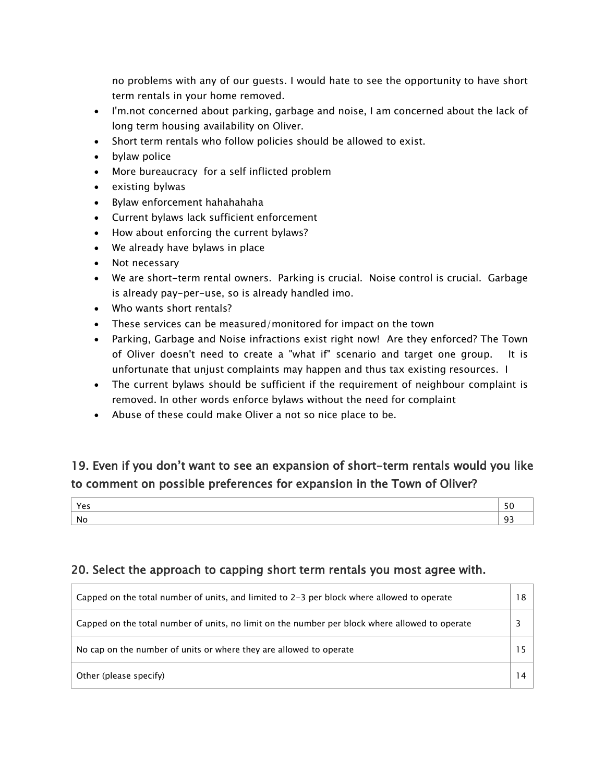no problems with any of our guests. I would hate to see the opportunity to have short term rentals in your home removed.

- I'm.not concerned about parking, garbage and noise, I am concerned about the lack of long term housing availability on Oliver.
- Short term rentals who follow policies should be allowed to exist.
- bylaw police
- More bureaucracy for a self inflicted problem
- existing bylwas
- Bylaw enforcement hahahahaha
- Current bylaws lack sufficient enforcement
- How about enforcing the current bylaws?
- We already have bylaws in place
- Not necessary
- We are short-term rental owners. Parking is crucial. Noise control is crucial. Garbage is already pay-per-use, so is already handled imo.
- Who wants short rentals?
- These services can be measured/monitored for impact on the town
- Parking, Garbage and Noise infractions exist right now! Are they enforced? The Town of Oliver doesn't need to create a "what if" scenario and target one group. It is unfortunate that unjust complaints may happen and thus tax existing resources. I
- The current bylaws should be sufficient if the requirement of neighbour complaint is removed. In other words enforce bylaws without the need for complaint
- Abuse of these could make Oliver a not so nice place to be.

## 19. Even if you don't want to see an expansion of short-term rentals would you like to comment on possible preferences for expansion in the Town of Oliver?

| -Ni |  |
|-----|--|

### 20. Select the approach to capping short term rentals you most agree with.

| Capped on the total number of units, and limited to 2-3 per block where allowed to operate     | 18 |
|------------------------------------------------------------------------------------------------|----|
| Capped on the total number of units, no limit on the number per block where allowed to operate |    |
| No cap on the number of units or where they are allowed to operate                             |    |
| Other (please specify)                                                                         |    |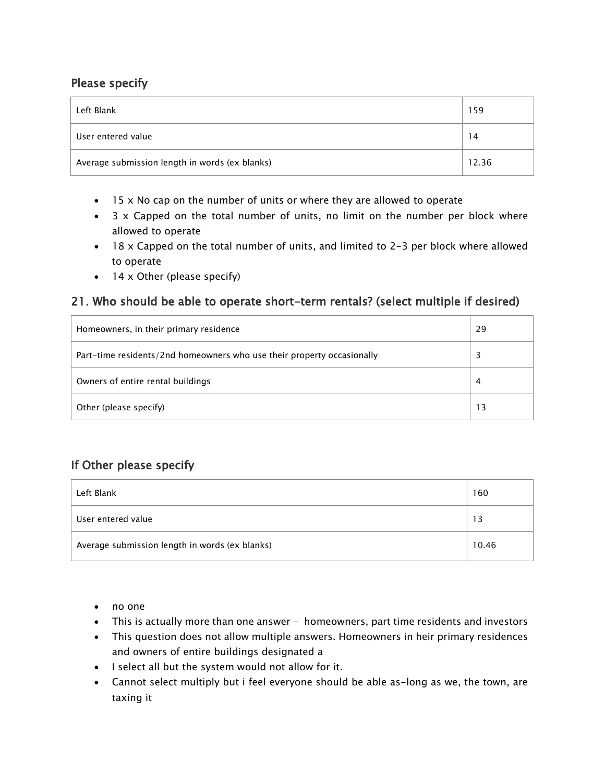### Please specify

| Left Blank                                     | 159   |
|------------------------------------------------|-------|
| User entered value                             | 14    |
| Average submission length in words (ex blanks) | 12.36 |

- 15 x No cap on the number of units or where they are allowed to operate
- 3 x Capped on the total number of units, no limit on the number per block where allowed to operate
- 18 x Capped on the total number of units, and limited to 2-3 per block where allowed to operate
- 14 x Other (please specify)

#### 21. Who should be able to operate short-term rentals? (select multiple if desired)

| Homeowners, in their primary residence                                 | 29 |
|------------------------------------------------------------------------|----|
| Part-time residents/2nd homeowners who use their property occasionally |    |
| Owners of entire rental buildings                                      | 4  |
| Other (please specify)                                                 | 13 |

| Left Blank                                     | 160   |
|------------------------------------------------|-------|
| User entered value                             | 13    |
| Average submission length in words (ex blanks) | 10.46 |

- no one
- This is actually more than one answer homeowners, part time residents and investors
- This question does not allow multiple answers. Homeowners in heir primary residences and owners of entire buildings designated a
- I select all but the system would not allow for it.
- Cannot select multiply but i feel everyone should be able as-long as we, the town, are taxing it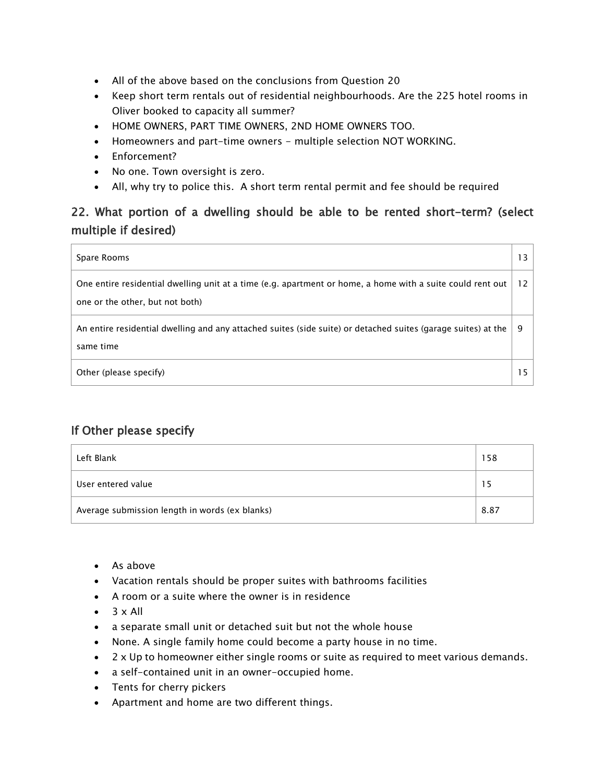- All of the above based on the conclusions from Question 20
- Keep short term rentals out of residential neighbourhoods. Are the 225 hotel rooms in Oliver booked to capacity all summer?
- HOME OWNERS, PART TIME OWNERS, 2ND HOME OWNERS TOO.
- Homeowners and part-time owners multiple selection NOT WORKING.
- Enforcement?
- No one. Town oversight is zero.
- All, why try to police this. A short term rental permit and fee should be required

## 22. What portion of a dwelling should be able to be rented short-term? (select multiple if desired)

| Spare Rooms                                                                                                                                   | 13                |
|-----------------------------------------------------------------------------------------------------------------------------------------------|-------------------|
| One entire residential dwelling unit at a time (e.g. apartment or home, a home with a suite could rent out<br>one or the other, but not both) | $12 \overline{ }$ |
| An entire residential dwelling and any attached suites (side suite) or detached suites (garage suites) at the<br>same time                    | 9                 |
| Other (please specify)                                                                                                                        |                   |

| Left Blank                                     | 158  |
|------------------------------------------------|------|
| User entered value                             | 5    |
| Average submission length in words (ex blanks) | 8.87 |

- As above
- Vacation rentals should be proper suites with bathrooms facilities
- A room or a suite where the owner is in residence
- $\bullet$  3 x All
- a separate small unit or detached suit but not the whole house
- None. A single family home could become a party house in no time.
- 2 x Up to homeowner either single rooms or suite as required to meet various demands.
- a self-contained unit in an owner-occupied home.
- Tents for cherry pickers
- Apartment and home are two different things.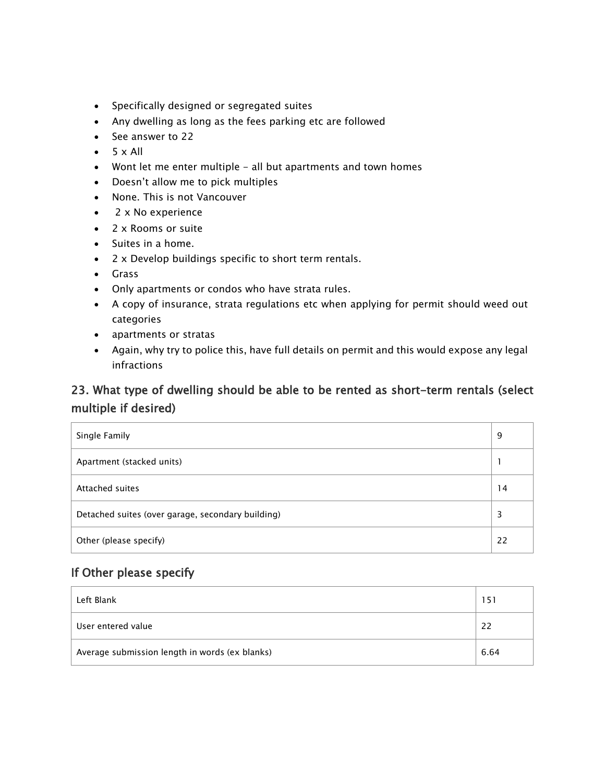- Specifically designed or segregated suites
- Any dwelling as long as the fees parking etc are followed
- See answer to 22
- $5 \times All$
- Wont let me enter multiple all but apartments and town homes
- Doesn't allow me to pick multiples
- None. This is not Vancouver
- 2 x No experience
- 2 x Rooms or suite
- Suites in a home.
- 2 x Develop buildings specific to short term rentals.
- Grass
- Only apartments or condos who have strata rules.
- A copy of insurance, strata regulations etc when applying for permit should weed out categories
- apartments or stratas
- Again, why try to police this, have full details on permit and this would expose any legal infractions

### 23. What type of dwelling should be able to be rented as short-term rentals (select multiple if desired)

| Single Family                                     | 9  |
|---------------------------------------------------|----|
| Apartment (stacked units)                         |    |
| Attached suites                                   | 14 |
| Detached suites (over garage, secondary building) | 3  |
| Other (please specify)                            | 22 |

| Left Blank                                     | 151  |
|------------------------------------------------|------|
| User entered value                             | 22   |
| Average submission length in words (ex blanks) | 6.64 |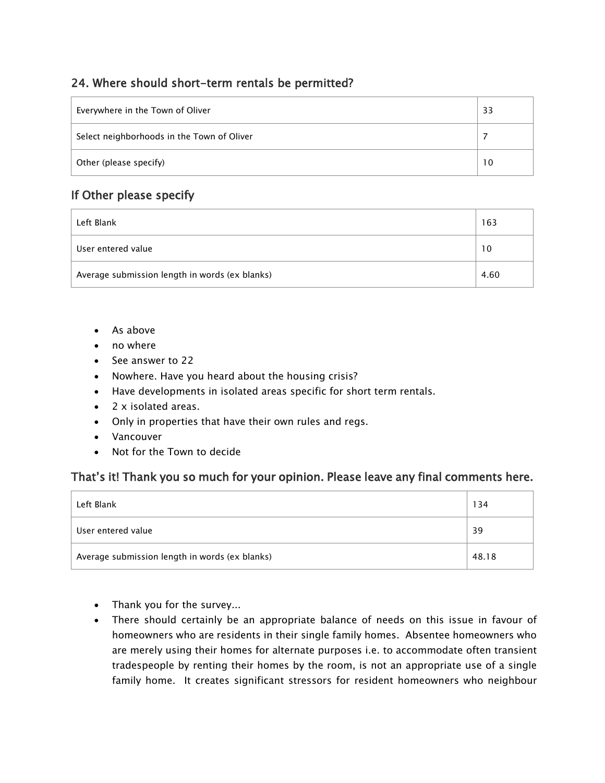### 24. Where should short-term rentals be permitted?

| Everywhere in the Town of Oliver           | 33              |
|--------------------------------------------|-----------------|
| Select neighborhoods in the Town of Oliver |                 |
| Other (please specify)                     | 10 <sup>°</sup> |

### If Other please specify

| Left Blank                                     | 163  |
|------------------------------------------------|------|
| User entered value                             | 10   |
| Average submission length in words (ex blanks) | 4.60 |

- As above
- no where
- See answer to 22
- Nowhere. Have you heard about the housing crisis?
- Have developments in isolated areas specific for short term rentals.
- 2 x isolated areas.
- Only in properties that have their own rules and regs.
- Vancouver
- Not for the Town to decide

### That's it! Thank you so much for your opinion. Please leave any final comments here.

| Left Blank                                     | 134   |
|------------------------------------------------|-------|
| User entered value                             | 39    |
| Average submission length in words (ex blanks) | 48.18 |

- Thank you for the survey...
- There should certainly be an appropriate balance of needs on this issue in favour of homeowners who are residents in their single family homes. Absentee homeowners who are merely using their homes for alternate purposes i.e. to accommodate often transient tradespeople by renting their homes by the room, is not an appropriate use of a single family home. It creates significant stressors for resident homeowners who neighbour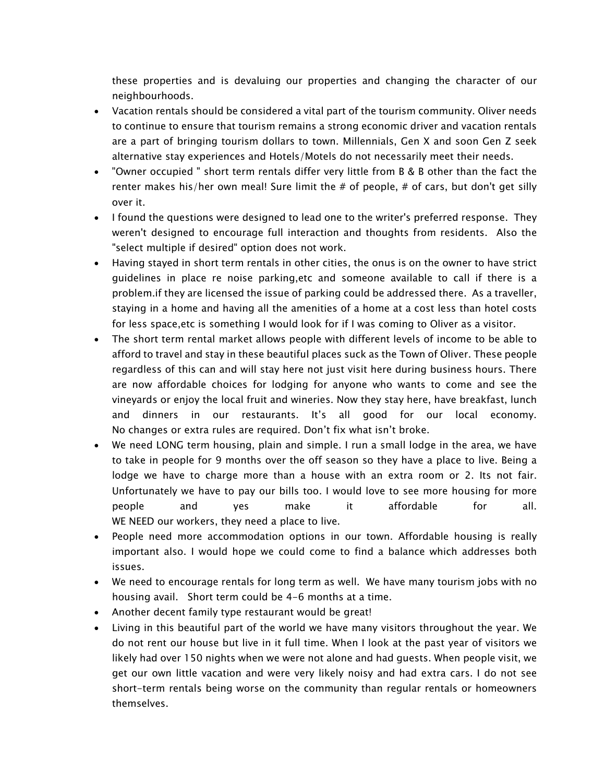these properties and is devaluing our properties and changing the character of our neighbourhoods.

- Vacation rentals should be considered a vital part of the tourism community. Oliver needs to continue to ensure that tourism remains a strong economic driver and vacation rentals are a part of bringing tourism dollars to town. Millennials, Gen X and soon Gen Z seek alternative stay experiences and Hotels/Motels do not necessarily meet their needs.
- "Owner occupied " short term rentals differ very little from B & B other than the fact the renter makes his/her own meal! Sure limit the  $#$  of people,  $#$  of cars, but don't get silly over it.
- I found the questions were designed to lead one to the writer's preferred response. They weren't designed to encourage full interaction and thoughts from residents. Also the "select multiple if desired" option does not work.
- Having stayed in short term rentals in other cities, the onus is on the owner to have strict guidelines in place re noise parking,etc and someone available to call if there is a problem.if they are licensed the issue of parking could be addressed there. As a traveller, staying in a home and having all the amenities of a home at a cost less than hotel costs for less space,etc is something I would look for if I was coming to Oliver as a visitor.
- The short term rental market allows people with different levels of income to be able to afford to travel and stay in these beautiful places suck as the Town of Oliver. These people regardless of this can and will stay here not just visit here during business hours. There are now affordable choices for lodging for anyone who wants to come and see the vineyards or enjoy the local fruit and wineries. Now they stay here, have breakfast, lunch and dinners in our restaurants. It's all good for our local economy. No changes or extra rules are required. Don't fix what isn't broke.
- We need LONG term housing, plain and simple. I run a small lodge in the area, we have to take in people for 9 months over the off season so they have a place to live. Being a lodge we have to charge more than a house with an extra room or 2. Its not fair. Unfortunately we have to pay our bills too. I would love to see more housing for more people and yes make it affordable for all. WE NEED our workers, they need a place to live.
- People need more accommodation options in our town. Affordable housing is really important also. I would hope we could come to find a balance which addresses both issues.
- We need to encourage rentals for long term as well. We have many tourism jobs with no housing avail. Short term could be 4-6 months at a time.
- Another decent family type restaurant would be great!
- Living in this beautiful part of the world we have many visitors throughout the year. We do not rent our house but live in it full time. When I look at the past year of visitors we likely had over 150 nights when we were not alone and had guests. When people visit, we get our own little vacation and were very likely noisy and had extra cars. I do not see short-term rentals being worse on the community than regular rentals or homeowners themselves.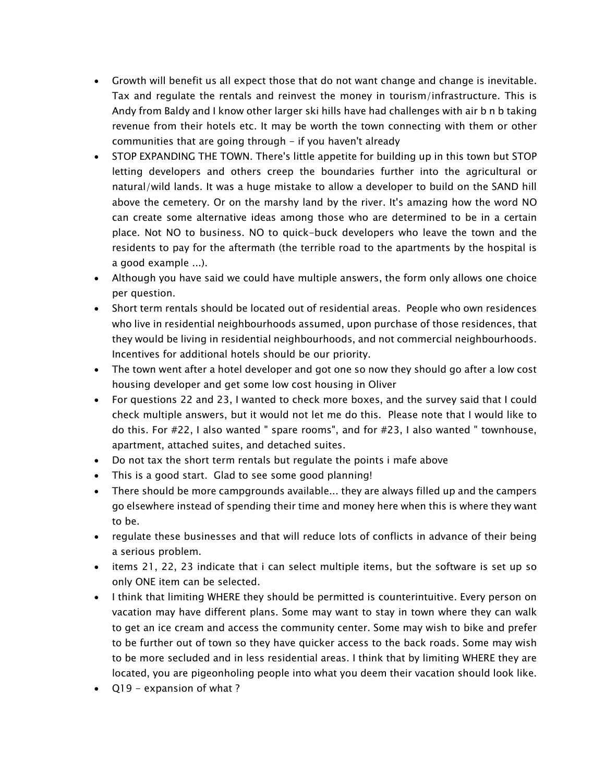- Growth will benefit us all expect those that do not want change and change is inevitable. Tax and regulate the rentals and reinvest the money in tourism/infrastructure. This is Andy from Baldy and I know other larger ski hills have had challenges with air b n b taking revenue from their hotels etc. It may be worth the town connecting with them or other communities that are going through - if you haven't already
- STOP EXPANDING THE TOWN. There's little appetite for building up in this town but STOP letting developers and others creep the boundaries further into the agricultural or natural/wild lands. It was a huge mistake to allow a developer to build on the SAND hill above the cemetery. Or on the marshy land by the river. It's amazing how the word NO can create some alternative ideas among those who are determined to be in a certain place. Not NO to business. NO to quick-buck developers who leave the town and the residents to pay for the aftermath (the terrible road to the apartments by the hospital is a good example ...).
- Although you have said we could have multiple answers, the form only allows one choice per question.
- Short term rentals should be located out of residential areas. People who own residences who live in residential neighbourhoods assumed, upon purchase of those residences, that they would be living in residential neighbourhoods, and not commercial neighbourhoods. Incentives for additional hotels should be our priority.
- The town went after a hotel developer and got one so now they should go after a low cost housing developer and get some low cost housing in Oliver
- For questions 22 and 23, I wanted to check more boxes, and the survey said that I could check multiple answers, but it would not let me do this. Please note that I would like to do this. For #22, I also wanted " spare rooms", and for #23, I also wanted " townhouse, apartment, attached suites, and detached suites.
- Do not tax the short term rentals but regulate the points i mafe above
- This is a good start. Glad to see some good planning!
- There should be more campgrounds available... they are always filled up and the campers go elsewhere instead of spending their time and money here when this is where they want to be.
- regulate these businesses and that will reduce lots of conflicts in advance of their being a serious problem.
- items 21, 22, 23 indicate that i can select multiple items, but the software is set up so only ONE item can be selected.
- I think that limiting WHERE they should be permitted is counterintuitive. Every person on vacation may have different plans. Some may want to stay in town where they can walk to get an ice cream and access the community center. Some may wish to bike and prefer to be further out of town so they have quicker access to the back roads. Some may wish to be more secluded and in less residential areas. I think that by limiting WHERE they are located, you are pigeonholing people into what you deem their vacation should look like.
- Q19 expansion of what ?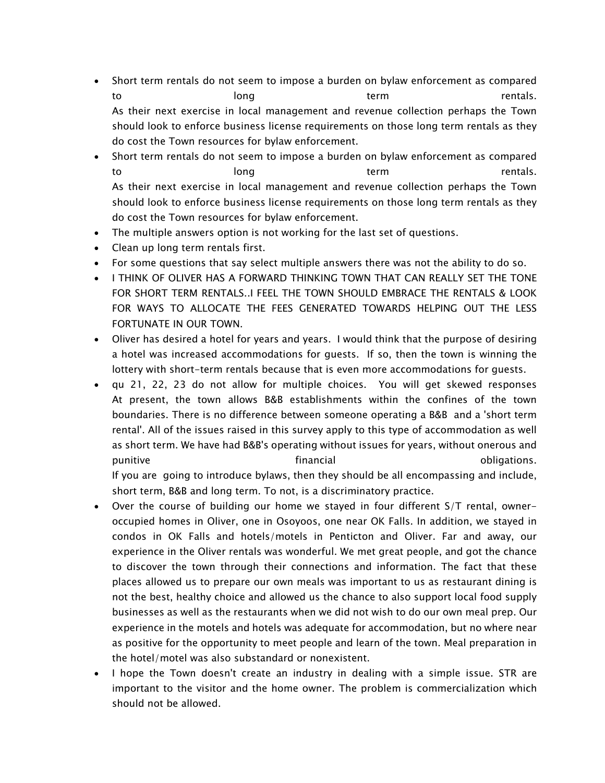- Short term rentals do not seem to impose a burden on bylaw enforcement as compared to long long term term rentals. As their next exercise in local management and revenue collection perhaps the Town should look to enforce business license requirements on those long term rentals as they do cost the Town resources for bylaw enforcement.
- Short term rentals do not seem to impose a burden on bylaw enforcement as compared to long long term term rentals. As their next exercise in local management and revenue collection perhaps the Town should look to enforce business license requirements on those long term rentals as they do cost the Town resources for bylaw enforcement.
- The multiple answers option is not working for the last set of questions.
- Clean up long term rentals first.
- For some questions that say select multiple answers there was not the ability to do so.
- I THINK OF OLIVER HAS A FORWARD THINKING TOWN THAT CAN REALLY SET THE TONE FOR SHORT TERM RENTALS..I FEEL THE TOWN SHOULD EMBRACE THE RENTALS & LOOK FOR WAYS TO ALLOCATE THE FEES GENERATED TOWARDS HELPING OUT THE LESS FORTUNATE IN OUR TOWN.
- Oliver has desired a hotel for years and years. I would think that the purpose of desiring a hotel was increased accommodations for guests. If so, then the town is winning the lottery with short-term rentals because that is even more accommodations for guests.
- qu 21, 22, 23 do not allow for multiple choices. You will get skewed responses At present, the town allows B&B establishments within the confines of the town boundaries. There is no difference between someone operating a B&B and a 'short term rental'. All of the issues raised in this survey apply to this type of accommodation as well as short term. We have had B&B's operating without issues for years, without onerous and punitive the contract obligations. The financial contract obligations. If you are going to introduce bylaws, then they should be all encompassing and include, short term, B&B and long term. To not, is a discriminatory practice.
- Over the course of building our home we stayed in four different S/T rental, owneroccupied homes in Oliver, one in Osoyoos, one near OK Falls. In addition, we stayed in condos in OK Falls and hotels/motels in Penticton and Oliver. Far and away, our experience in the Oliver rentals was wonderful. We met great people, and got the chance to discover the town through their connections and information. The fact that these places allowed us to prepare our own meals was important to us as restaurant dining is not the best, healthy choice and allowed us the chance to also support local food supply businesses as well as the restaurants when we did not wish to do our own meal prep. Our experience in the motels and hotels was adequate for accommodation, but no where near as positive for the opportunity to meet people and learn of the town. Meal preparation in the hotel/motel was also substandard or nonexistent.
- I hope the Town doesn't create an industry in dealing with a simple issue. STR are important to the visitor and the home owner. The problem is commercialization which should not be allowed.